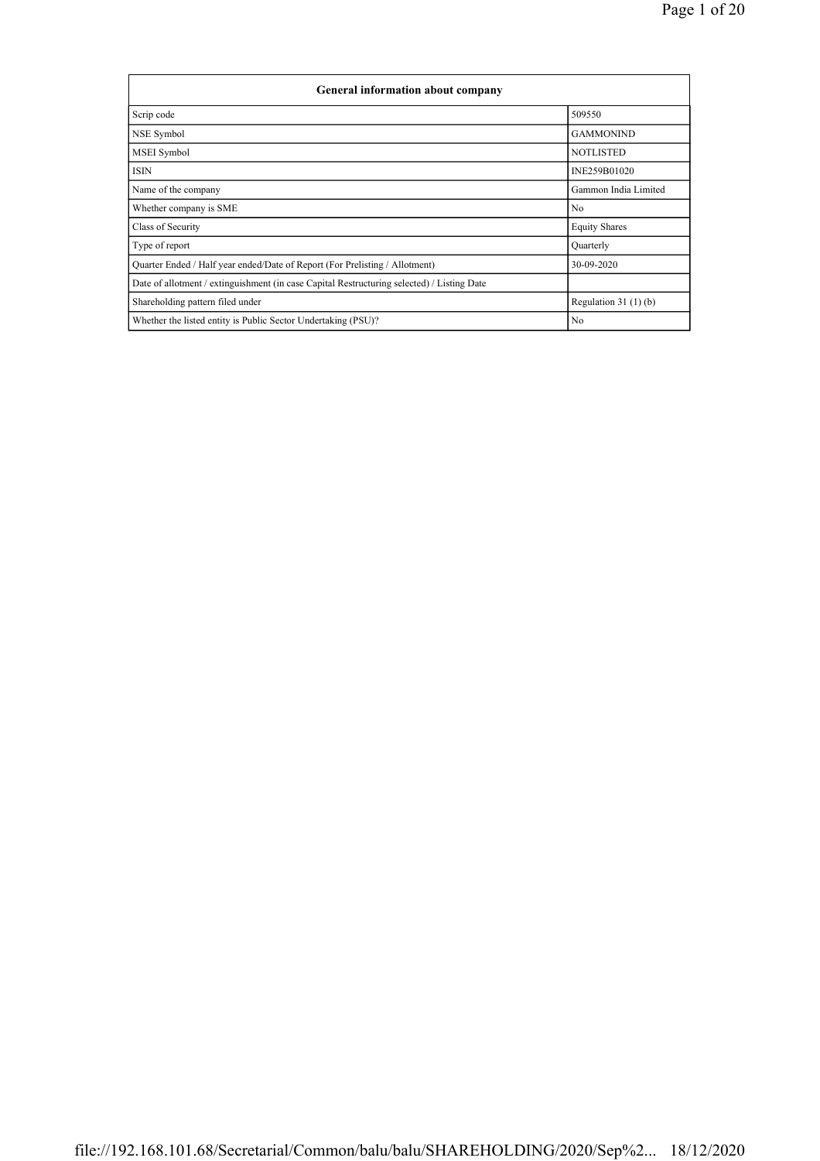| <b>General information about company</b>                                                   |                       |
|--------------------------------------------------------------------------------------------|-----------------------|
| Scrip code                                                                                 | 509550                |
| NSE Symbol                                                                                 | <b>GAMMONIND</b>      |
| <b>MSEI</b> Symbol                                                                         | <b>NOTLISTED</b>      |
| <b>ISIN</b>                                                                                | INE259B01020          |
| Name of the company                                                                        | Gammon India Limited  |
| Whether company is SME                                                                     | N <sub>0</sub>        |
| Class of Security                                                                          | <b>Equity Shares</b>  |
| Type of report                                                                             | Quarterly             |
| Quarter Ended / Half year ended/Date of Report (For Prelisting / Allotment)                | 30-09-2020            |
| Date of allotment / extinguishment (in case Capital Restructuring selected) / Listing Date |                       |
| Shareholding pattern filed under                                                           | Regulation $31(1)(b)$ |
| Whether the listed entity is Public Sector Undertaking (PSU)?                              | N <sub>0</sub>        |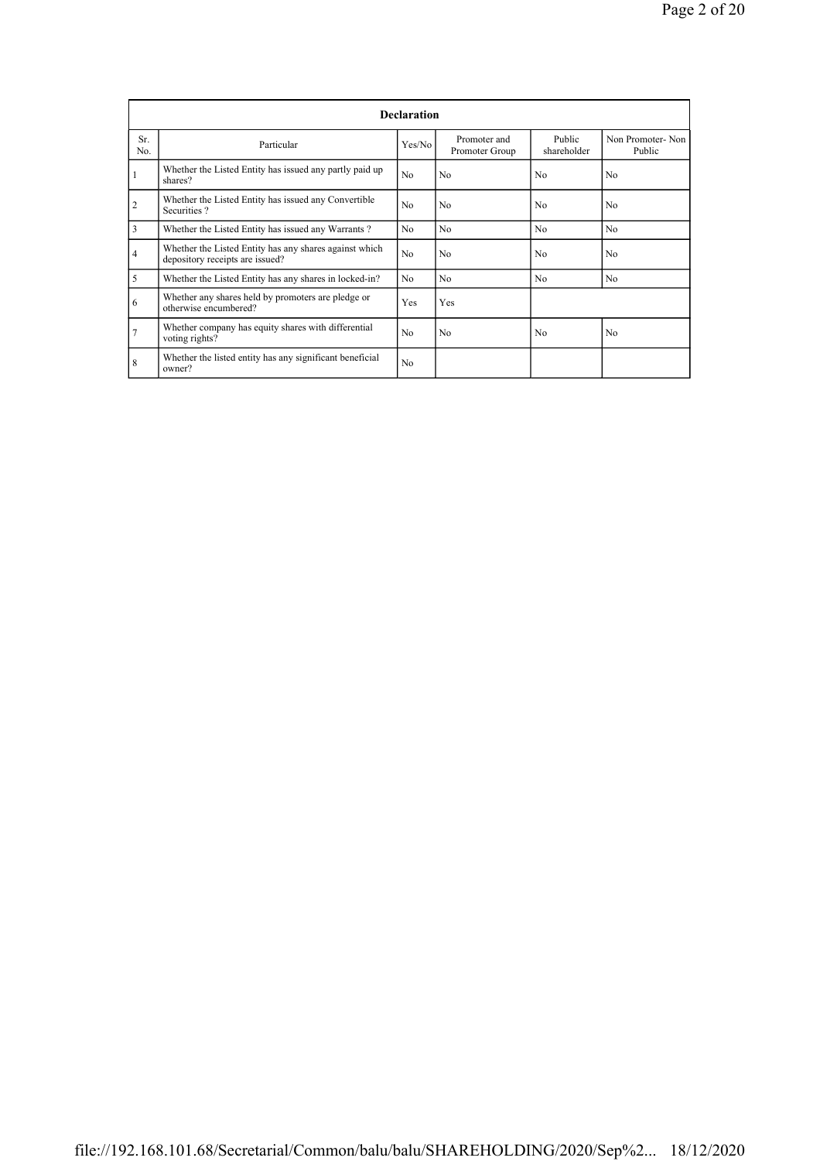|                |                                                                                           | <b>Declaration</b> |                                |                       |                            |
|----------------|-------------------------------------------------------------------------------------------|--------------------|--------------------------------|-----------------------|----------------------------|
| Sr.<br>No.     | Particular                                                                                | Yes/No             | Promoter and<br>Promoter Group | Public<br>shareholder | Non Promoter-Non<br>Public |
|                | Whether the Listed Entity has issued any partly paid up<br>shares?                        | No.                | N <sub>0</sub>                 | No                    | No.                        |
| $\overline{c}$ | Whether the Listed Entity has issued any Convertible<br>Securities?                       | No                 | N <sub>0</sub>                 | N <sub>0</sub>        | N <sub>0</sub>             |
| 3              | Whether the Listed Entity has issued any Warrants?                                        | N <sub>0</sub>     | N <sub>0</sub>                 | N <sub>0</sub>        | N <sub>0</sub>             |
| $\overline{4}$ | Whether the Listed Entity has any shares against which<br>depository receipts are issued? | No                 | N <sub>0</sub>                 | N <sub>0</sub>        | N <sub>0</sub>             |
| 5              | Whether the Listed Entity has any shares in locked-in?                                    | No                 | N <sub>0</sub>                 | N <sub>0</sub>        | N <sub>0</sub>             |
| 6              | Whether any shares held by promoters are pledge or<br>otherwise encumbered?               | Yes                | Yes                            |                       |                            |
| $\overline{7}$ | Whether company has equity shares with differential<br>voting rights?                     | No                 | N <sub>0</sub>                 | N <sub>0</sub>        | N <sub>0</sub>             |
| 8              | Whether the listed entity has any significant beneficial<br>owner?                        | No                 |                                |                       |                            |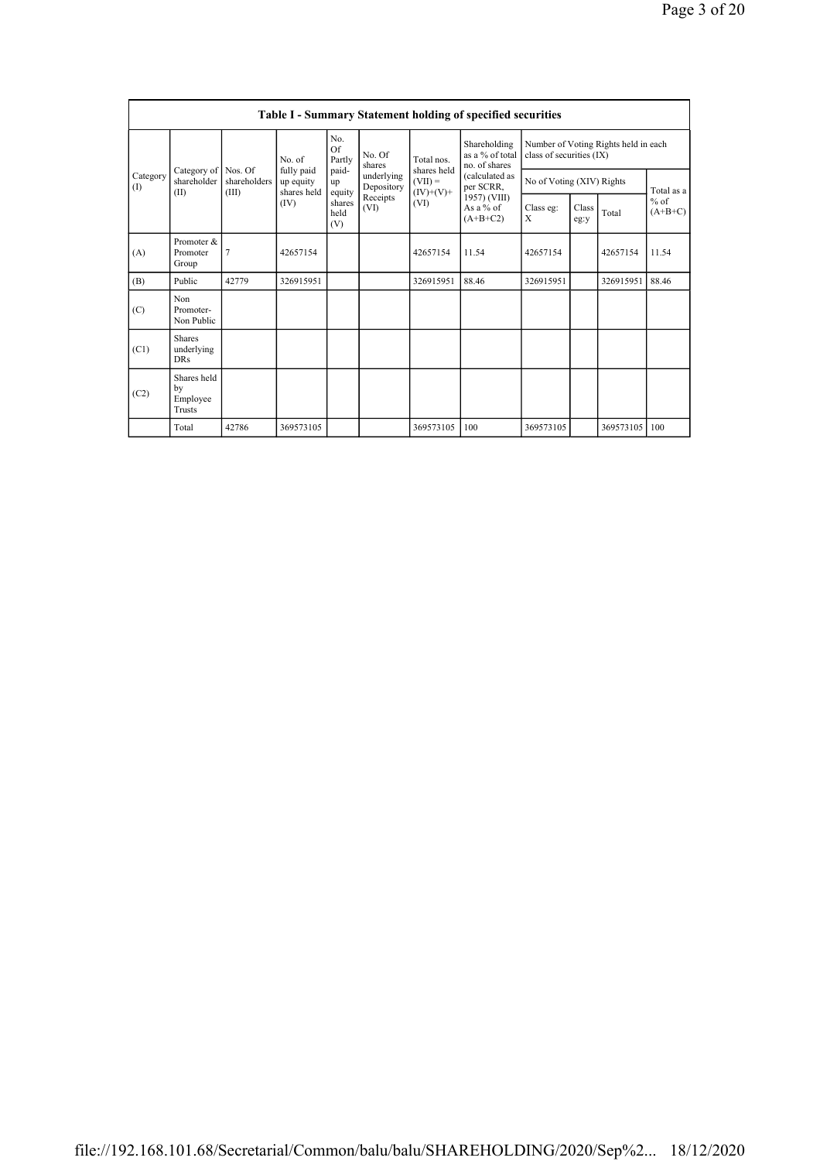|                 |                                           |                         |                                        |                                 |                          |                          | <b>Table I - Summary Statement holding of specified securities</b> |                           |               |                                      |                     |
|-----------------|-------------------------------------------|-------------------------|----------------------------------------|---------------------------------|--------------------------|--------------------------|--------------------------------------------------------------------|---------------------------|---------------|--------------------------------------|---------------------|
|                 |                                           |                         | No. of                                 | No.<br>Of<br>Partly             | No. Of<br>shares         | Total nos.               | Shareholding<br>as a % of total<br>no. of shares                   | class of securities (IX)  |               | Number of Voting Rights held in each |                     |
| Category<br>(1) | Category of<br>shareholder                | Nos. Of<br>shareholders | fully paid<br>up equity<br>shares held | paid-<br>up                     | underlying<br>Depository | shares held<br>$(VII) =$ | (calculated as<br>per SCRR,                                        | No of Voting (XIV) Rights |               |                                      | Total as a          |
|                 | (II)                                      | (III)                   | (IV)                                   | equity<br>shares<br>held<br>(V) | Receipts<br>(VI)         | $(IV)+(V)+$<br>(VI)      | 1957) (VIII)<br>As a $%$ of<br>$(A+B+C2)$                          | Class eg:<br>X            | Class<br>eg:y | Total                                | $%$ of<br>$(A+B+C)$ |
| (A)             | Promoter &<br>Promoter<br>Group           | 7                       | 42657154                               |                                 |                          | 42657154                 | 11.54                                                              | 42657154                  |               | 42657154                             | 11.54               |
| (B)             | Public                                    | 42779                   | 326915951                              |                                 |                          | 326915951                | 88.46                                                              | 326915951                 |               | 326915951                            | 88.46               |
| (C)             | Non<br>Promoter-<br>Non Public            |                         |                                        |                                 |                          |                          |                                                                    |                           |               |                                      |                     |
| (C1)            | <b>Shares</b><br>underlying<br><b>DRs</b> |                         |                                        |                                 |                          |                          |                                                                    |                           |               |                                      |                     |
| (C2)            | Shares held<br>by<br>Employee<br>Trusts   |                         |                                        |                                 |                          |                          |                                                                    |                           |               |                                      |                     |
|                 | Total                                     | 42786                   | 369573105                              |                                 |                          | 369573105                | 100                                                                | 369573105                 |               | 369573105                            | 100                 |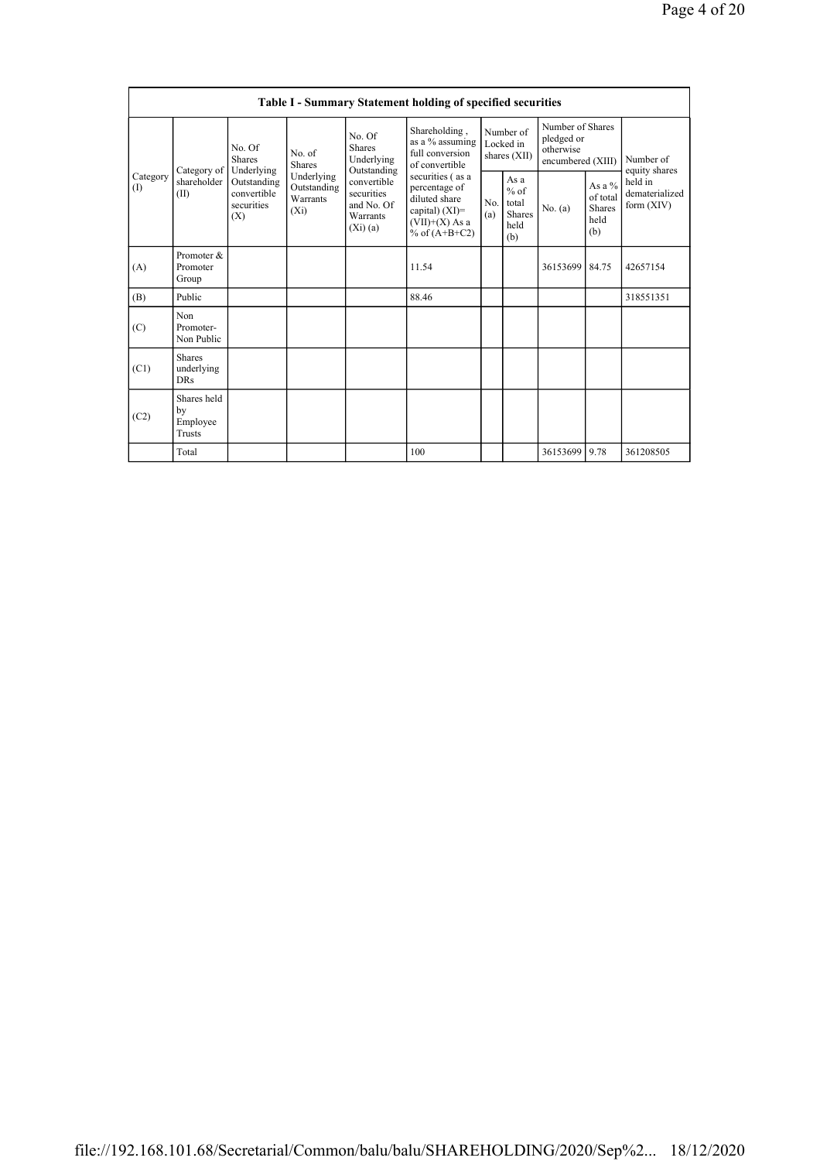|                         |                                                                                             |                                                  |                                                                |                                                                                                               | <b>Table I - Summary Statement holding of specified securities</b>    |                                                  |           |                                                                  |                                           |                            |
|-------------------------|---------------------------------------------------------------------------------------------|--------------------------------------------------|----------------------------------------------------------------|---------------------------------------------------------------------------------------------------------------|-----------------------------------------------------------------------|--------------------------------------------------|-----------|------------------------------------------------------------------|-------------------------------------------|----------------------------|
|                         |                                                                                             | No. Of<br><b>Shares</b>                          | No. of<br><b>Shares</b>                                        | No. Of<br><b>Shares</b><br>Underlying<br>Outstanding                                                          | Shareholding,<br>as a % assuming<br>full conversion<br>of convertible | Number of<br>Locked in<br>shares (XII)           |           | Number of Shares<br>pledged or<br>otherwise<br>encumbered (XIII) |                                           | Number of<br>equity shares |
| Category<br>(I)<br>(II) | Underlying<br>Category of<br>shareholder<br>Outstanding<br>convertible<br>securities<br>(X) | Underlying<br>Outstanding<br>Warrants<br>$(X_i)$ | convertible<br>securities<br>and No. Of<br>Warrants<br>(Xi)(a) | securities (as a<br>percentage of<br>diluted share<br>capital) $(XI)=$<br>$(VII)+(X)$ As a<br>% of $(A+B+C2)$ | No.<br>(a)                                                            | As a<br>$%$ of<br>total<br>Shares<br>held<br>(b) | No. $(a)$ | As a $\%$<br>of total<br><b>Shares</b><br>held<br>(b)            | held in<br>dematerialized<br>form $(XIV)$ |                            |
| (A)                     | Promoter &<br>Promoter<br>Group                                                             |                                                  |                                                                |                                                                                                               | 11.54                                                                 |                                                  |           | 36153699                                                         | 84.75                                     | 42657154                   |
| (B)                     | Public                                                                                      |                                                  |                                                                |                                                                                                               | 88.46                                                                 |                                                  |           |                                                                  |                                           | 318551351                  |
| (C)                     | Non<br>Promoter-<br>Non Public                                                              |                                                  |                                                                |                                                                                                               |                                                                       |                                                  |           |                                                                  |                                           |                            |
| (C1)                    | <b>Shares</b><br>underlying<br><b>DRs</b>                                                   |                                                  |                                                                |                                                                                                               |                                                                       |                                                  |           |                                                                  |                                           |                            |
| (C2)                    | Shares held<br>by<br>Employee<br>Trusts                                                     |                                                  |                                                                |                                                                                                               |                                                                       |                                                  |           |                                                                  |                                           |                            |
|                         | Total                                                                                       |                                                  |                                                                |                                                                                                               | 100                                                                   |                                                  |           | 36153699                                                         | 9.78                                      | 361208505                  |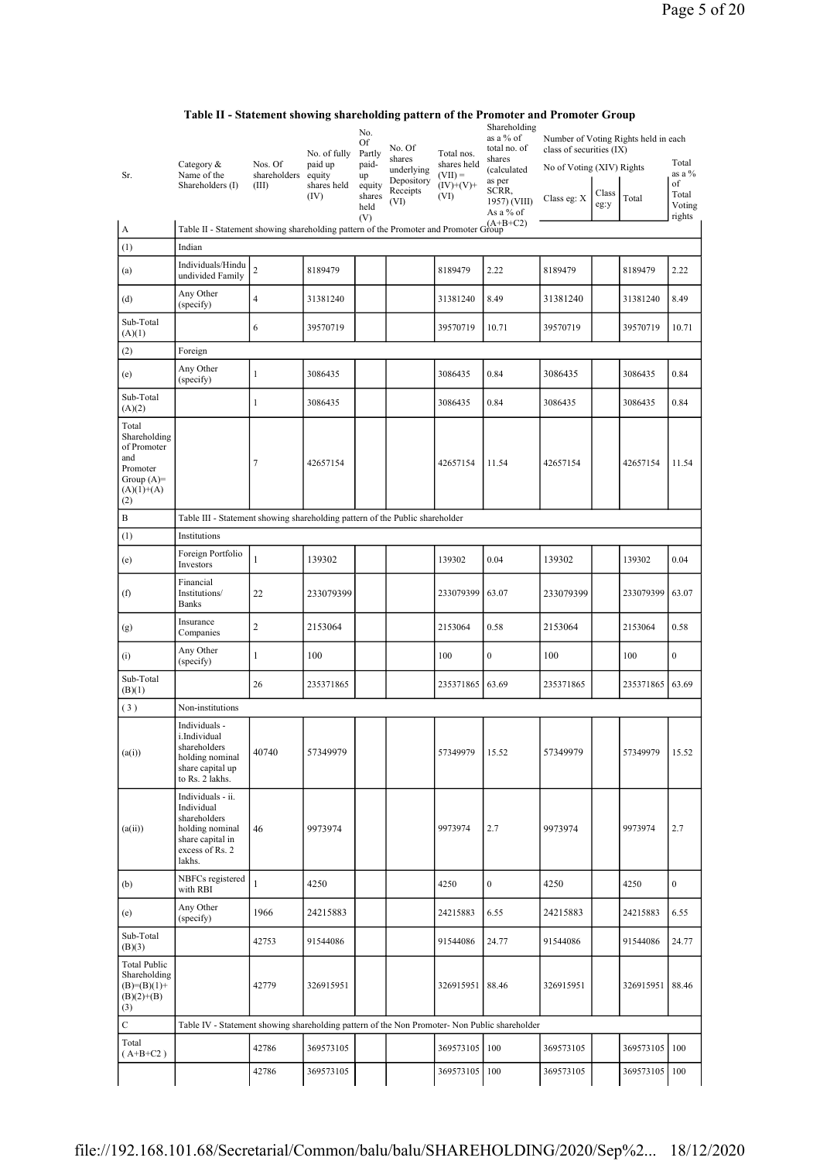| Sr.                                                                                            | Category &<br>Name of the<br>Shareholders (I)                                                                       | Nos. Of<br>shareholders<br>(III) | No. of fully<br>paid up<br>equity<br>shares held<br>(IV) | No.<br>Of<br>Partly<br>paid-<br>up<br>equity<br>shares | No. Of<br>shares<br>underlying<br>Depository<br>Receipts<br>(VI) | Total nos.<br>shares held<br>$(VII) =$<br>$(IV)+(V)+$<br>(VI) | Shareholding<br>as a % of<br>total no. of<br>shares<br>(calculated<br>as per<br>SCRR,<br>1957) (VIII) | Number of Voting Rights held in each<br>class of securities (IX)<br>No of Voting (XIV) Rights<br>Class eg: X | Class<br>eg:y | Total         | Total<br>as a %<br>of<br>Total<br>Voting |
|------------------------------------------------------------------------------------------------|---------------------------------------------------------------------------------------------------------------------|----------------------------------|----------------------------------------------------------|--------------------------------------------------------|------------------------------------------------------------------|---------------------------------------------------------------|-------------------------------------------------------------------------------------------------------|--------------------------------------------------------------------------------------------------------------|---------------|---------------|------------------------------------------|
|                                                                                                | Table II - Statement showing shareholding pattern of the Promoter and Promoter Group                                |                                  |                                                          | held<br>(V)                                            |                                                                  |                                                               | As a % of                                                                                             |                                                                                                              |               |               | rights                                   |
| A                                                                                              |                                                                                                                     |                                  |                                                          |                                                        |                                                                  |                                                               |                                                                                                       |                                                                                                              |               |               |                                          |
| (1)                                                                                            | Indian                                                                                                              |                                  |                                                          |                                                        |                                                                  |                                                               |                                                                                                       |                                                                                                              |               |               |                                          |
| (a)                                                                                            | Individuals/Hindu<br>undivided Family                                                                               | $\overline{c}$                   | 8189479                                                  |                                                        |                                                                  | 8189479                                                       | 2.22                                                                                                  | 8189479                                                                                                      |               | 8189479       | 2.22                                     |
| (d)                                                                                            | Any Other<br>(specify)                                                                                              | $\overline{4}$                   | 31381240                                                 |                                                        |                                                                  | 31381240                                                      | 8.49                                                                                                  | 31381240                                                                                                     |               | 31381240      | 8.49                                     |
| Sub-Total<br>(A)(1)                                                                            |                                                                                                                     | 6                                | 39570719                                                 |                                                        |                                                                  | 39570719                                                      | 10.71                                                                                                 | 39570719                                                                                                     |               | 39570719      | 10.71                                    |
| (2)                                                                                            | Foreign                                                                                                             |                                  |                                                          |                                                        |                                                                  |                                                               |                                                                                                       |                                                                                                              |               |               |                                          |
| (e)                                                                                            | Any Other<br>(specify)                                                                                              | $\mathbf{1}$                     | 3086435                                                  |                                                        |                                                                  | 3086435                                                       | 0.84                                                                                                  | 3086435                                                                                                      |               | 3086435       | 0.84                                     |
| Sub-Total<br>(A)(2)                                                                            |                                                                                                                     | 1                                | 3086435                                                  |                                                        |                                                                  | 3086435                                                       | 0.84                                                                                                  | 3086435                                                                                                      |               | 3086435       | 0.84                                     |
| Total<br>Shareholding<br>of Promoter<br>and<br>Promoter<br>Group $(A)=$<br>$(A)(1)+(A)$<br>(2) |                                                                                                                     | 7                                | 42657154                                                 |                                                        |                                                                  | 42657154                                                      | 11.54                                                                                                 | 42657154                                                                                                     |               | 42657154      | 11.54                                    |
| B                                                                                              | Table III - Statement showing shareholding pattern of the Public shareholder                                        |                                  |                                                          |                                                        |                                                                  |                                                               |                                                                                                       |                                                                                                              |               |               |                                          |
| (1)                                                                                            | Institutions                                                                                                        |                                  |                                                          |                                                        |                                                                  |                                                               |                                                                                                       |                                                                                                              |               |               |                                          |
| (e)                                                                                            | Foreign Portfolio<br>Investors                                                                                      | $\mathbf{1}$                     | 139302                                                   |                                                        |                                                                  | 139302                                                        | 0.04                                                                                                  | 139302                                                                                                       |               | 139302        | 0.04                                     |
| (f)                                                                                            | Financial<br>Institutions/<br><b>Banks</b>                                                                          | 22                               | 233079399                                                |                                                        |                                                                  | 233079399                                                     | 63.07                                                                                                 | 233079399                                                                                                    |               | 233079399     | 63.07                                    |
| (g)                                                                                            | Insurance<br>Companies                                                                                              | $\overline{c}$                   | 2153064                                                  |                                                        |                                                                  | 2153064                                                       | 0.58                                                                                                  | 2153064                                                                                                      |               | 2153064       | 0.58                                     |
| (i)                                                                                            | Any Other<br>(specify)                                                                                              | $\mathbf{1}$                     | 100                                                      |                                                        |                                                                  | 100                                                           | $\boldsymbol{0}$                                                                                      | 100                                                                                                          |               | 100           | $\boldsymbol{0}$                         |
| Sub-Total<br>(B)(1)                                                                            |                                                                                                                     | 26                               | 235371865                                                |                                                        |                                                                  | 235371865                                                     | 63.69                                                                                                 | 235371865                                                                                                    |               | 235371865     | 63.69                                    |
| (3)                                                                                            | Non-institutions                                                                                                    |                                  |                                                          |                                                        |                                                                  |                                                               |                                                                                                       |                                                                                                              |               |               |                                          |
| (a(i))                                                                                         | Individuals -<br>i.Individual<br>shareholders<br>holding nominal<br>share capital up<br>to Rs. 2 lakhs.             | 40740                            | 57349979                                                 |                                                        |                                                                  | 57349979                                                      | 15.52                                                                                                 | 57349979                                                                                                     |               | 57349979      | 15.52                                    |
| (a(ii))                                                                                        | Individuals - ii.<br>Individual<br>shareholders<br>holding nominal<br>share capital in<br>excess of Rs. 2<br>lakhs. | 46                               | 9973974                                                  |                                                        |                                                                  | 9973974                                                       | 2.7                                                                                                   | 9973974                                                                                                      |               | 9973974       | 2.7                                      |
| (b)                                                                                            | NBFCs registered<br>with RBI                                                                                        | $\mathbf{1}$                     | 4250                                                     |                                                        |                                                                  | 4250                                                          | $\boldsymbol{0}$                                                                                      | 4250                                                                                                         |               | 4250          | $\boldsymbol{0}$                         |
| (e)                                                                                            | Any Other<br>(specify)                                                                                              | 1966                             | 24215883                                                 |                                                        |                                                                  | 24215883                                                      | 6.55                                                                                                  | 24215883                                                                                                     |               | 24215883      | 6.55                                     |
| Sub-Total<br>(B)(3)                                                                            |                                                                                                                     | 42753                            | 91544086                                                 |                                                        |                                                                  | 91544086                                                      | 24.77                                                                                                 | 91544086                                                                                                     |               | 91544086      | 24.77                                    |
| <b>Total Public</b><br>Shareholding<br>$(B)= (B)(1) +$<br>$(B)(2)+(B)$<br>(3)                  |                                                                                                                     | 42779                            | 326915951                                                |                                                        |                                                                  | 326915951                                                     | 88.46                                                                                                 | 326915951                                                                                                    |               | 326915951     | 88.46                                    |
| $\mathbf C$                                                                                    | Table IV - Statement showing shareholding pattern of the Non Promoter- Non Public shareholder                       |                                  |                                                          |                                                        |                                                                  |                                                               |                                                                                                       |                                                                                                              |               |               |                                          |
| Total<br>$(A+B+C2)$                                                                            |                                                                                                                     | 42786                            | 369573105                                                |                                                        |                                                                  | 369573105 100                                                 |                                                                                                       | 369573105                                                                                                    |               | 369573105 100 |                                          |
|                                                                                                |                                                                                                                     | 42786                            | 369573105                                                |                                                        |                                                                  | 369573105 100                                                 |                                                                                                       | 369573105                                                                                                    |               | 369573105 100 |                                          |

## Table II - Statement showing shareholding pattern of the Promoter and Promoter Group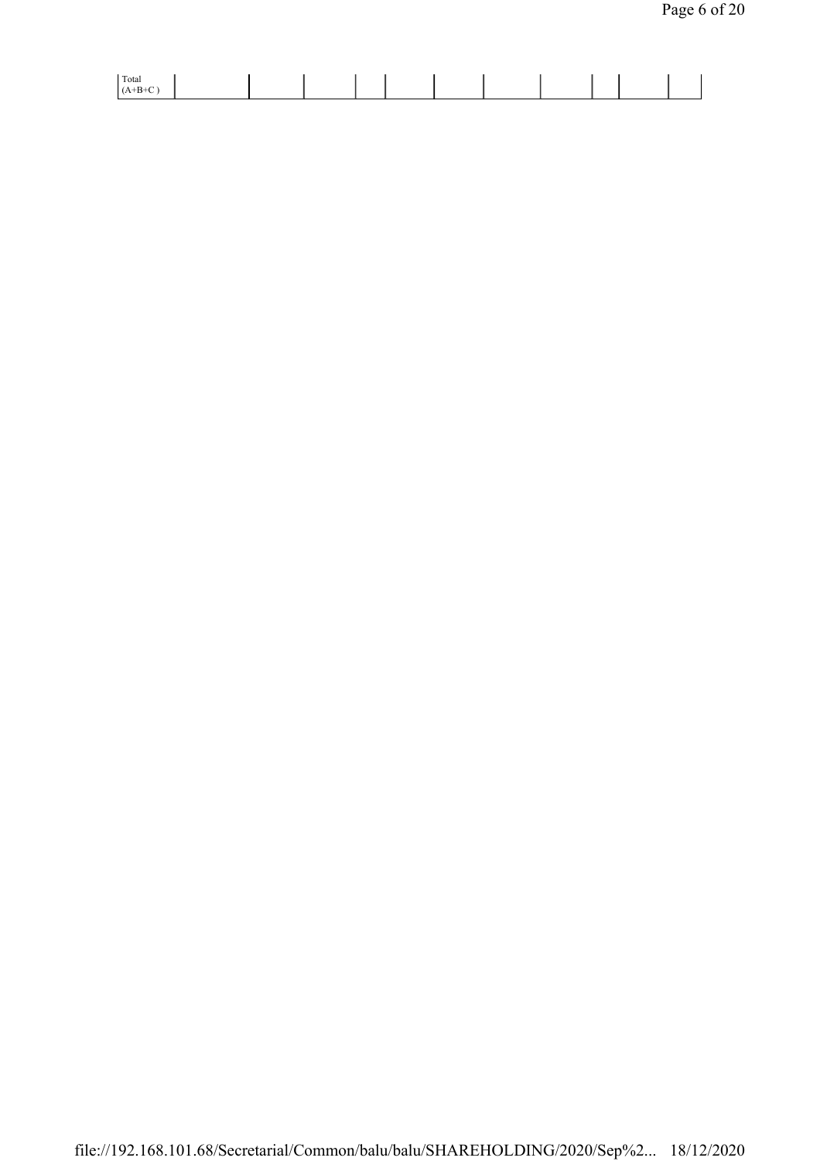| Total |  |  |  |  |  |  |
|-------|--|--|--|--|--|--|
|       |  |  |  |  |  |  |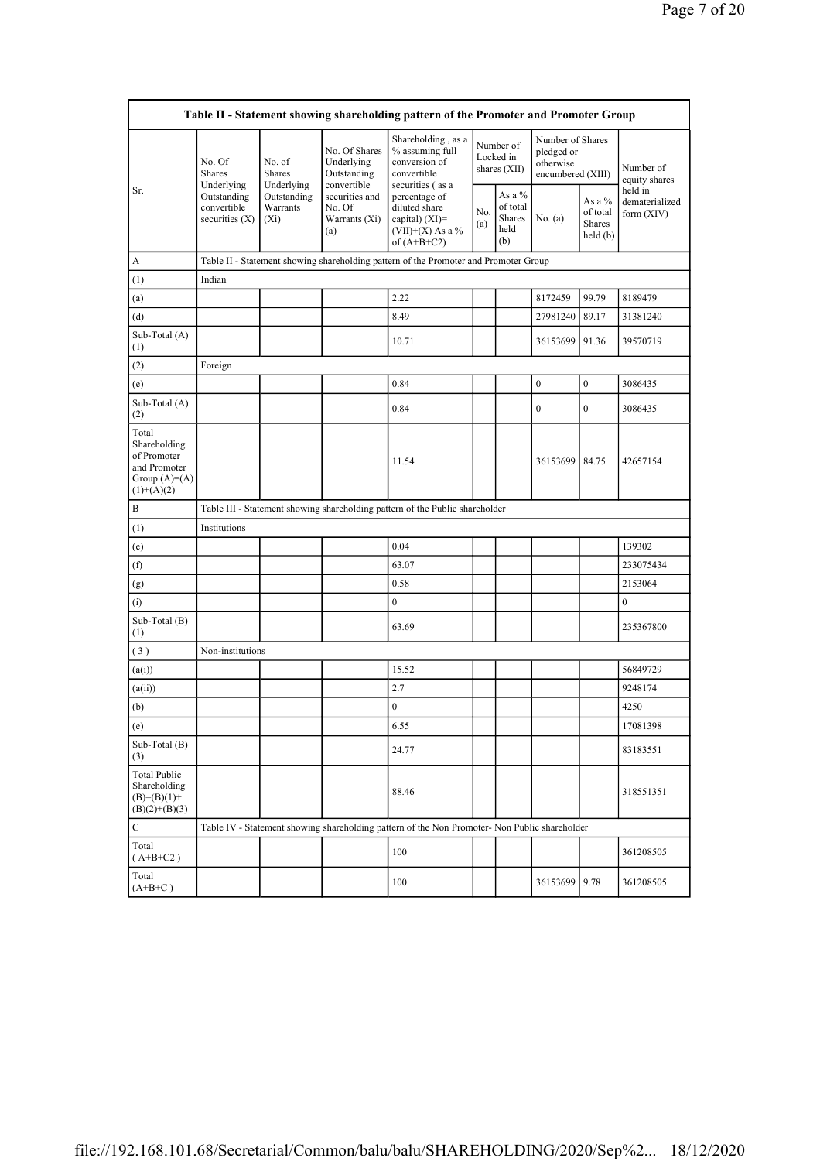|                                                                                        |                                                |                                       |                                                           | Table II - Statement showing shareholding pattern of the Promoter and Promoter Group          |                                        |                                             |                                                                  |                                                  |                                         |
|----------------------------------------------------------------------------------------|------------------------------------------------|---------------------------------------|-----------------------------------------------------------|-----------------------------------------------------------------------------------------------|----------------------------------------|---------------------------------------------|------------------------------------------------------------------|--------------------------------------------------|-----------------------------------------|
|                                                                                        | No. Of<br>Shares<br>Underlying                 | No. of<br><b>Shares</b><br>Underlying | No. Of Shares<br>Underlying<br>Outstanding<br>convertible | Shareholding, as a<br>% assuming full<br>conversion of<br>convertible<br>securities (as a     | Number of<br>Locked in<br>shares (XII) |                                             | Number of Shares<br>pledged or<br>otherwise<br>encumbered (XIII) |                                                  | Number of<br>equity shares              |
| Sr.                                                                                    | Outstanding<br>convertible<br>securities $(X)$ | Outstanding<br>Warrants<br>$(X_i)$    | securities and<br>No. Of<br>Warrants (Xi)<br>(a)          | percentage of<br>diluted share<br>capital) $(XI)$ =<br>$(VII)+(X)$ As a %<br>of $(A+B+C2)$    | No.<br>(a)                             | As a %<br>of total<br>Shares<br>held<br>(b) | No. (a)                                                          | As a $%$<br>of total<br><b>Shares</b><br>held(b) | held in<br>dematerialized<br>form (XIV) |
| A                                                                                      |                                                |                                       |                                                           | Table II - Statement showing shareholding pattern of the Promoter and Promoter Group          |                                        |                                             |                                                                  |                                                  |                                         |
| (1)                                                                                    | Indian                                         |                                       |                                                           |                                                                                               |                                        |                                             |                                                                  |                                                  |                                         |
| (a)                                                                                    |                                                |                                       |                                                           | 2.22                                                                                          |                                        |                                             | 8172459                                                          | 99.79                                            | 8189479                                 |
| (d)                                                                                    |                                                |                                       |                                                           | 8.49                                                                                          |                                        |                                             | 27981240                                                         | 89.17                                            | 31381240                                |
| Sub-Total (A)<br>(1)                                                                   |                                                |                                       |                                                           | 10.71                                                                                         |                                        |                                             | 36153699                                                         | 91.36                                            | 39570719                                |
| (2)                                                                                    | Foreign                                        |                                       |                                                           |                                                                                               |                                        |                                             |                                                                  |                                                  |                                         |
| (e)                                                                                    |                                                |                                       |                                                           | 0.84                                                                                          |                                        |                                             | $\boldsymbol{0}$                                                 | $\boldsymbol{0}$                                 | 3086435                                 |
| Sub-Total $(A)$<br>(2)                                                                 |                                                |                                       |                                                           | 0.84                                                                                          |                                        |                                             | $\mathbf{0}$                                                     | $\mathbf{0}$                                     | 3086435                                 |
| Total<br>Shareholding<br>of Promoter<br>and Promoter<br>Group $(A)=A)$<br>$(1)+(A)(2)$ |                                                |                                       |                                                           | 11.54                                                                                         |                                        |                                             | 36153699 84.75                                                   |                                                  | 42657154                                |
| B                                                                                      |                                                |                                       |                                                           | Table III - Statement showing shareholding pattern of the Public shareholder                  |                                        |                                             |                                                                  |                                                  |                                         |
| (1)                                                                                    | Institutions                                   |                                       |                                                           |                                                                                               |                                        |                                             |                                                                  |                                                  |                                         |
| (e)                                                                                    |                                                |                                       |                                                           | 0.04                                                                                          |                                        |                                             |                                                                  |                                                  | 139302                                  |
| (f)                                                                                    |                                                |                                       |                                                           | 63.07                                                                                         |                                        |                                             |                                                                  |                                                  | 233075434                               |
| (g)                                                                                    |                                                |                                       |                                                           | 0.58                                                                                          |                                        |                                             |                                                                  |                                                  | 2153064                                 |
| (i)                                                                                    |                                                |                                       |                                                           | $\mathbf{0}$                                                                                  |                                        |                                             |                                                                  |                                                  | $\mathbf{0}$                            |
| Sub-Total (B)<br>(1)                                                                   |                                                |                                       |                                                           | 63.69                                                                                         |                                        |                                             |                                                                  |                                                  | 235367800                               |
| (3)                                                                                    | Non-institutions                               |                                       |                                                           |                                                                                               |                                        |                                             |                                                                  |                                                  |                                         |
| (a(i))                                                                                 |                                                |                                       |                                                           | 15.52                                                                                         |                                        |                                             |                                                                  |                                                  | 56849729                                |
| (a(ii))                                                                                |                                                |                                       |                                                           | 2.7                                                                                           |                                        |                                             |                                                                  |                                                  | 9248174                                 |
| (b)                                                                                    |                                                |                                       |                                                           | $\boldsymbol{0}$                                                                              |                                        |                                             |                                                                  |                                                  | 4250                                    |
| (e)                                                                                    |                                                |                                       |                                                           | 6.55                                                                                          |                                        |                                             |                                                                  |                                                  | 17081398                                |
| Sub-Total (B)<br>(3)                                                                   |                                                |                                       |                                                           | 24.77                                                                                         |                                        |                                             |                                                                  |                                                  | 83183551                                |
| <b>Total Public</b><br>Shareholding<br>$(B)= (B)(1) +$<br>$(B)(2)+(B)(3)$              |                                                |                                       |                                                           | 88.46                                                                                         |                                        |                                             |                                                                  |                                                  | 318551351                               |
| С                                                                                      |                                                |                                       |                                                           | Table IV - Statement showing shareholding pattern of the Non Promoter- Non Public shareholder |                                        |                                             |                                                                  |                                                  |                                         |
| Total<br>$(A+B+C2)$                                                                    |                                                |                                       |                                                           | 100                                                                                           |                                        |                                             |                                                                  |                                                  | 361208505                               |
| Total<br>$(A+B+C)$                                                                     |                                                |                                       |                                                           | 100                                                                                           |                                        |                                             | 36153699                                                         | 9.78                                             | 361208505                               |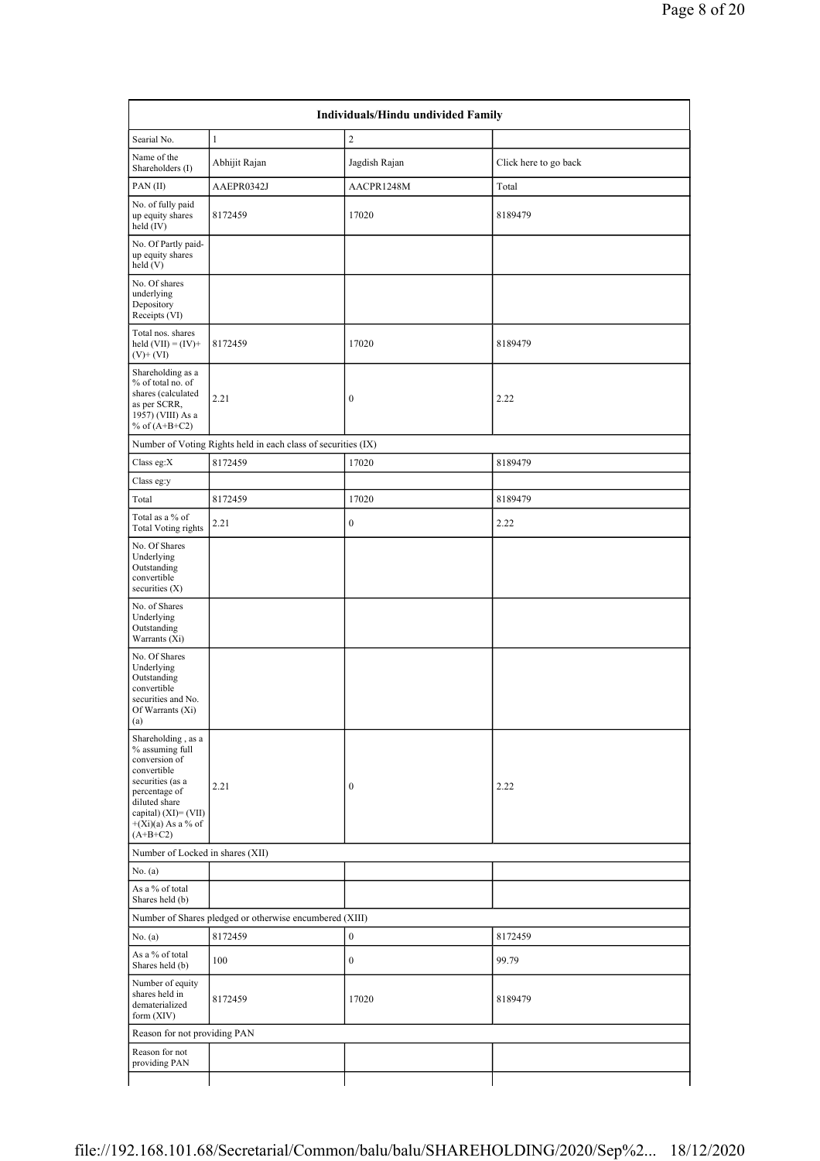| Searial No.                                                                                                                                                                                  | $\mathbf{1}$                                                  | $\overline{c}$   |                       |  |
|----------------------------------------------------------------------------------------------------------------------------------------------------------------------------------------------|---------------------------------------------------------------|------------------|-----------------------|--|
| Name of the<br>Shareholders (I)                                                                                                                                                              | Abhijit Rajan                                                 | Jagdish Rajan    | Click here to go back |  |
| PAN(II)                                                                                                                                                                                      | AAEPR0342J                                                    | AACPR1248M       | Total                 |  |
| No. of fully paid<br>up equity shares<br>held (IV)                                                                                                                                           | 8172459                                                       | 17020            | 8189479               |  |
| No. Of Partly paid-<br>up equity shares<br>held(V)                                                                                                                                           |                                                               |                  |                       |  |
| No. Of shares<br>underlying<br>Depository<br>Receipts (VI)                                                                                                                                   |                                                               |                  |                       |  |
| Total nos. shares<br>held $(VII) = (IV) +$<br>$(V) + (VI)$                                                                                                                                   | 8172459                                                       | 17020            | 8189479               |  |
| Shareholding as a<br>% of total no. of<br>shares (calculated<br>as per SCRR,<br>1957) (VIII) As a<br>% of $(A+B+C2)$                                                                         | 2.21                                                          | $\boldsymbol{0}$ | 2.22                  |  |
|                                                                                                                                                                                              | Number of Voting Rights held in each class of securities (IX) |                  |                       |  |
| Class eg: $X$                                                                                                                                                                                | 8172459                                                       | 17020            | 8189479               |  |
| Class eg:y                                                                                                                                                                                   |                                                               |                  |                       |  |
| Total                                                                                                                                                                                        | 8172459                                                       | 17020            | 8189479               |  |
| Total as a % of<br><b>Total Voting rights</b>                                                                                                                                                | 2.21                                                          | $\boldsymbol{0}$ | 2.22                  |  |
| No. Of Shares<br>Underlying<br>Outstanding<br>convertible<br>securities (X)                                                                                                                  |                                                               |                  |                       |  |
| No. of Shares<br>Underlying<br>Outstanding<br>Warrants (Xi)                                                                                                                                  |                                                               |                  |                       |  |
| No. Of Shares<br>Underlying<br>Outstanding<br>convertible<br>securities and No.<br>Of Warrants (Xi)<br>(a)                                                                                   |                                                               |                  |                       |  |
| Shareholding, as a<br>% assuming full<br>conversion of<br>convertible<br>securities (as a<br>percentage of<br>diluted share<br>capital) $(XI) = (VII)$<br>$+(Xi)(a)$ As a % of<br>$(A+B+C2)$ | 2.21                                                          | $\boldsymbol{0}$ | 2.22                  |  |
| Number of Locked in shares (XII)                                                                                                                                                             |                                                               |                  |                       |  |
| No. (a)                                                                                                                                                                                      |                                                               |                  |                       |  |
| As a % of total<br>Shares held (b)                                                                                                                                                           |                                                               |                  |                       |  |
|                                                                                                                                                                                              | Number of Shares pledged or otherwise encumbered (XIII)       |                  |                       |  |
| No. (a)                                                                                                                                                                                      | 8172459                                                       | $\boldsymbol{0}$ | 8172459               |  |
| As a % of total<br>Shares held (b)                                                                                                                                                           | 100                                                           | $\boldsymbol{0}$ | 99.79                 |  |
| Number of equity<br>shares held in<br>dematerialized<br>form (XIV)                                                                                                                           | 8172459                                                       | 17020            | 8189479               |  |
| Reason for not providing PAN                                                                                                                                                                 |                                                               |                  |                       |  |
| Reason for not                                                                                                                                                                               |                                                               |                  |                       |  |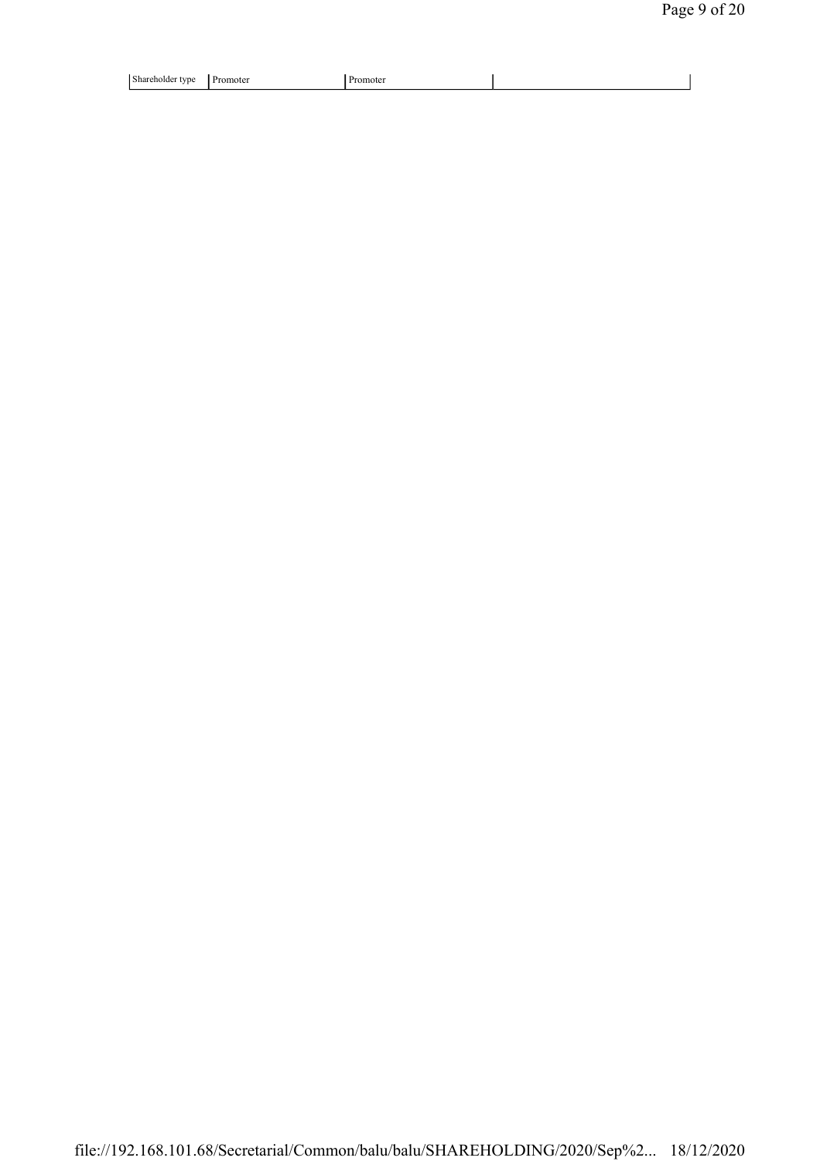| Shar.<br>™enoide∟<br>rvn.<br>. . | moter<br>--- | пон<br> |  |
|----------------------------------|--------------|---------|--|
|                                  |              |         |  |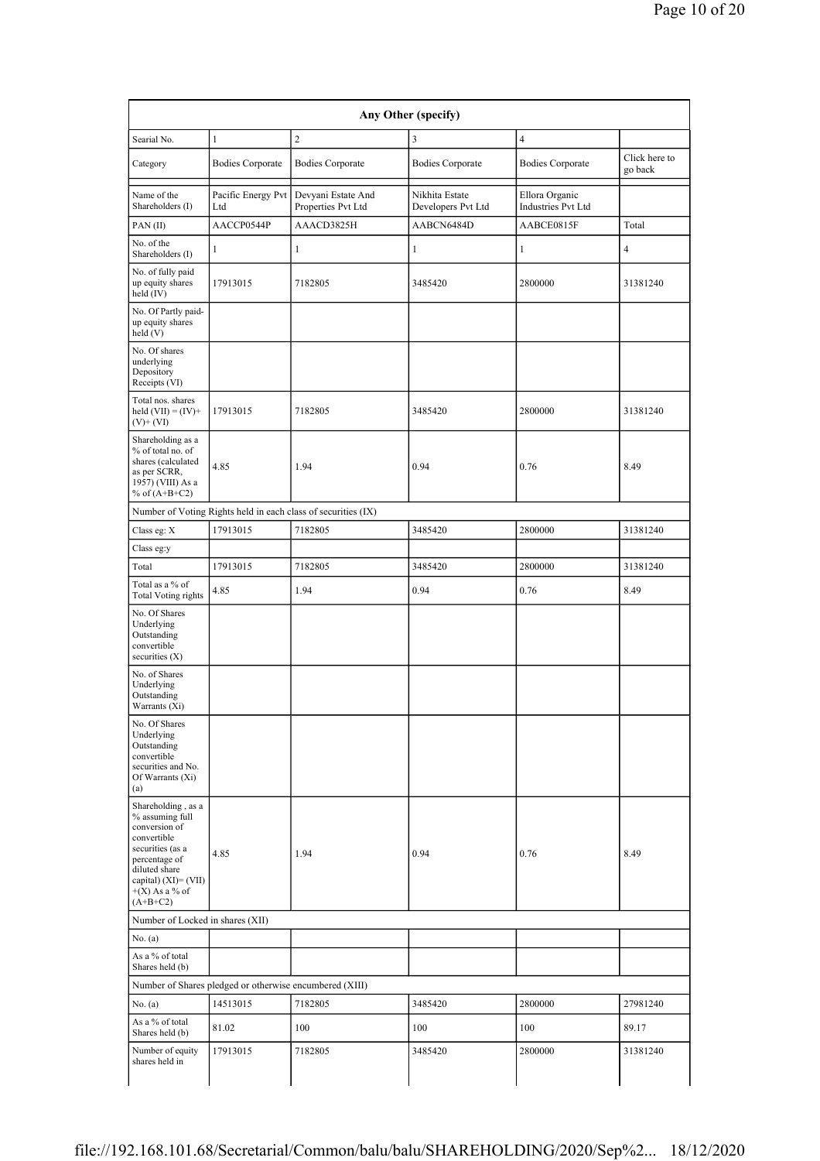| Searial No.                                                                                                                                                                              | $\mathbf{1}$                                            | $\overline{2}$                                                | 3                                    | $\overline{4}$                       |                |
|------------------------------------------------------------------------------------------------------------------------------------------------------------------------------------------|---------------------------------------------------------|---------------------------------------------------------------|--------------------------------------|--------------------------------------|----------------|
|                                                                                                                                                                                          |                                                         |                                                               |                                      |                                      | Click here to  |
| Category                                                                                                                                                                                 | <b>Bodies Corporate</b>                                 | <b>Bodies Corporate</b>                                       | <b>Bodies Corporate</b>              | <b>Bodies Corporate</b>              | go back        |
| Name of the<br>Shareholders (I)                                                                                                                                                          | Pacific Energy Pvt<br>Ltd                               | Devyani Estate And<br>Properties Pvt Ltd                      | Nikhita Estate<br>Developers Pvt Ltd | Ellora Organic<br>Industries Pvt Ltd |                |
| PAN(II)                                                                                                                                                                                  | AACCP0544P                                              | AAACD3825H                                                    | AABCN6484D                           | AABCE0815F                           | Total          |
| No. of the<br>Shareholders (I)                                                                                                                                                           | $\mathbf{1}$                                            | $\mathbf{1}$                                                  | 1                                    | 1                                    | $\overline{4}$ |
| No. of fully paid<br>up equity shares<br>held (IV)                                                                                                                                       | 17913015                                                | 7182805                                                       | 3485420                              | 2800000                              | 31381240       |
| No. Of Partly paid-<br>up equity shares<br>held(V)                                                                                                                                       |                                                         |                                                               |                                      |                                      |                |
| No. Of shares<br>underlying<br>Depository<br>Receipts (VI)                                                                                                                               |                                                         |                                                               |                                      |                                      |                |
| Total nos. shares<br>held $(VII) = (IV) +$<br>$(V)$ + $(VI)$                                                                                                                             | 17913015                                                | 7182805                                                       | 3485420                              | 2800000                              | 31381240       |
| Shareholding as a<br>% of total no. of<br>shares (calculated<br>as per SCRR,<br>1957) (VIII) As a<br>% of $(A+B+C2)$                                                                     | 4.85                                                    | 1.94                                                          | 0.94                                 | 0.76                                 | 8.49           |
|                                                                                                                                                                                          |                                                         | Number of Voting Rights held in each class of securities (IX) |                                      |                                      |                |
| Class eg: X                                                                                                                                                                              | 17913015                                                | 7182805                                                       | 3485420                              | 2800000                              | 31381240       |
| Class eg:y                                                                                                                                                                               |                                                         |                                                               |                                      |                                      |                |
| Total                                                                                                                                                                                    | 17913015                                                | 7182805                                                       | 3485420                              | 2800000                              | 31381240       |
| Total as a % of<br><b>Total Voting rights</b>                                                                                                                                            | 4.85                                                    | 1.94                                                          | 0.94                                 | 0.76                                 | 8.49           |
| No. Of Shares<br>Underlying<br>Outstanding<br>convertible<br>securities $(X)$                                                                                                            |                                                         |                                                               |                                      |                                      |                |
| No. of Shares<br>Underlying<br>Outstanding<br>Warrants (Xi)                                                                                                                              |                                                         |                                                               |                                      |                                      |                |
| No. Of Shares<br>Underlying<br>Outstanding<br>convertible<br>securities and No.<br>Of Warrants (Xi)<br>(a)                                                                               |                                                         |                                                               |                                      |                                      |                |
| Shareholding, as a<br>% assuming full<br>conversion of<br>convertible<br>securities (as a<br>percentage of<br>diluted share<br>capital) $(XI) = (VII)$<br>$+(X)$ As a % of<br>$(A+B+C2)$ | 4.85                                                    | 1.94                                                          | 0.94                                 | 0.76                                 | 8.49           |
| Number of Locked in shares (XII)                                                                                                                                                         |                                                         |                                                               |                                      |                                      |                |
| No. (a)                                                                                                                                                                                  |                                                         |                                                               |                                      |                                      |                |
| As a % of total<br>Shares held (b)                                                                                                                                                       |                                                         |                                                               |                                      |                                      |                |
|                                                                                                                                                                                          | Number of Shares pledged or otherwise encumbered (XIII) |                                                               |                                      |                                      |                |
| No. (a)                                                                                                                                                                                  | 14513015                                                | 7182805                                                       | 3485420                              | 2800000                              | 27981240       |
| As a % of total<br>Shares held (b)                                                                                                                                                       | 81.02                                                   | 100                                                           | 100                                  | 100                                  | 89.17          |
| Number of equity<br>shares held in                                                                                                                                                       | 17913015                                                | 7182805                                                       | 3485420                              | 2800000                              | 31381240       |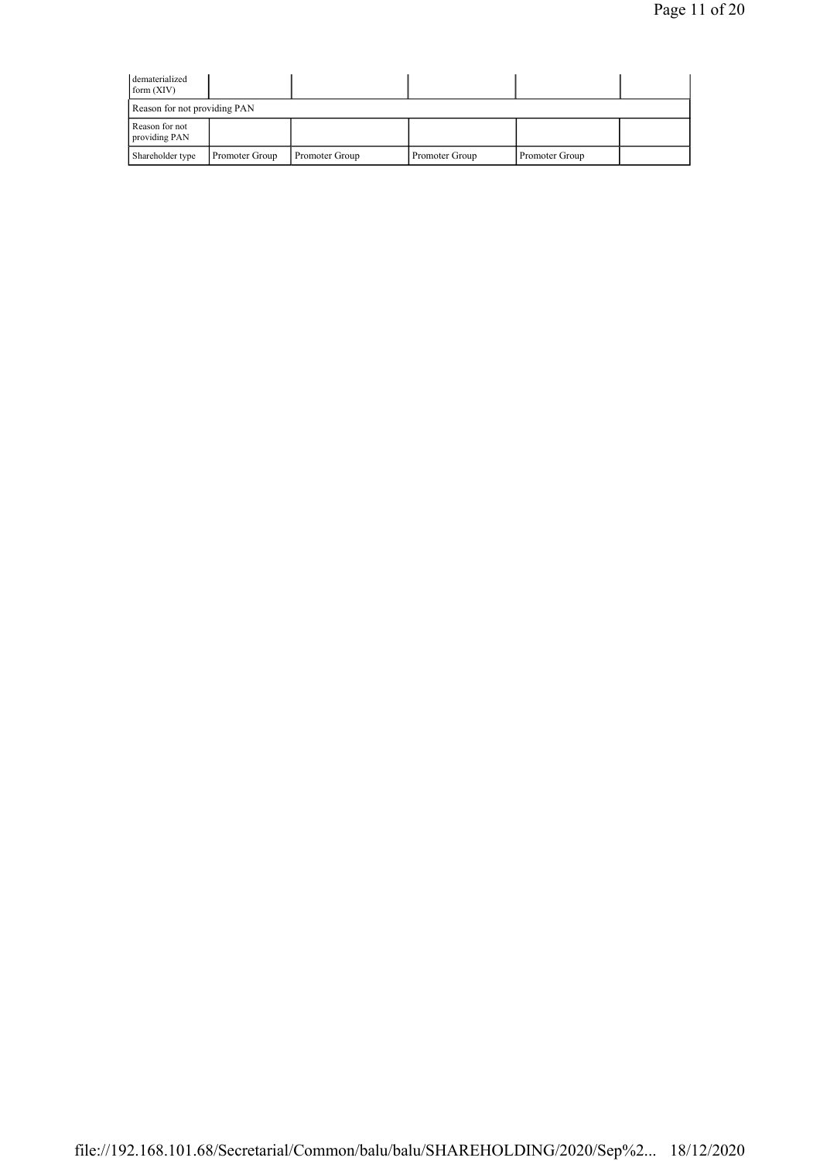| dematerialized<br>form $(XIV)$  |                |                |                |                |  |
|---------------------------------|----------------|----------------|----------------|----------------|--|
| Reason for not providing PAN    |                |                |                |                |  |
| Reason for not<br>providing PAN |                |                |                |                |  |
| Shareholder type                | Promoter Group | Promoter Group | Promoter Group | Promoter Group |  |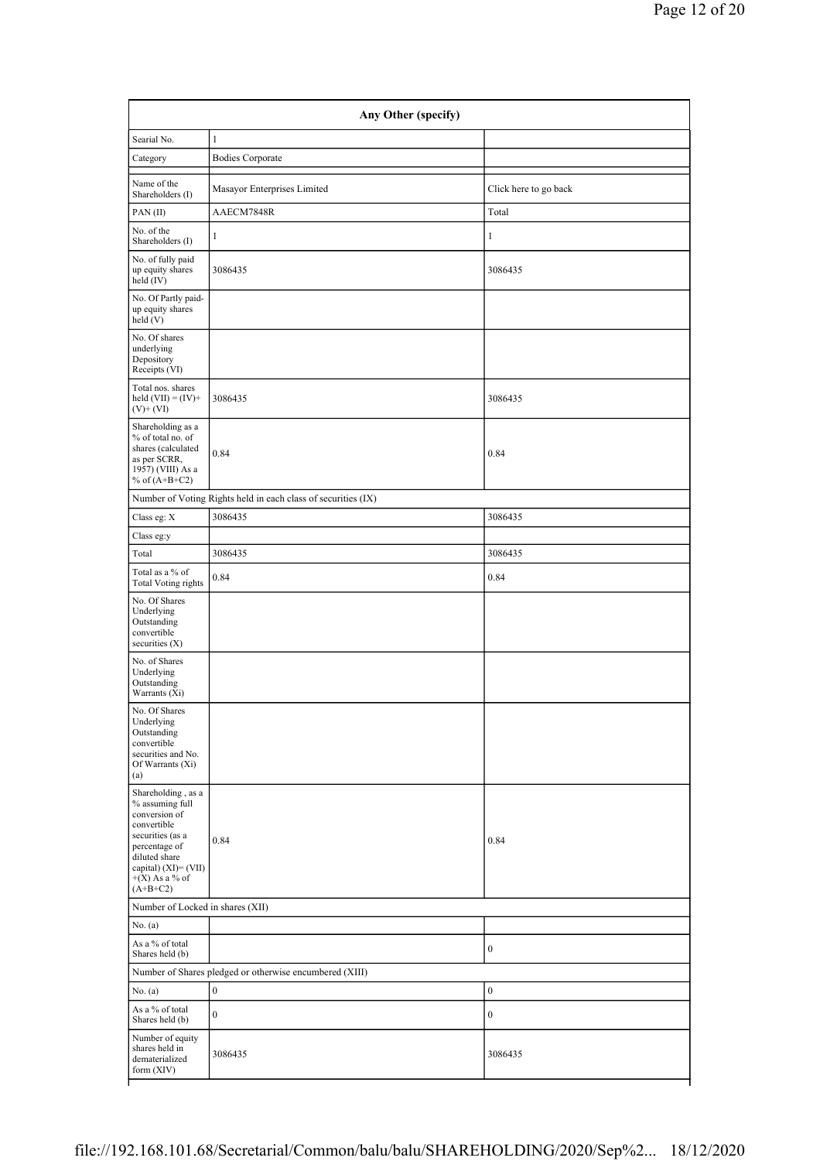| Searial No.                                                                                                                                                                              | $\mathbf{1}$                                                  |                       |  |
|------------------------------------------------------------------------------------------------------------------------------------------------------------------------------------------|---------------------------------------------------------------|-----------------------|--|
| Category                                                                                                                                                                                 | <b>Bodies Corporate</b>                                       |                       |  |
| Name of the<br>Shareholders (I)                                                                                                                                                          | Masayor Enterprises Limited                                   | Click here to go back |  |
| PAN(II)                                                                                                                                                                                  | AAECM7848R                                                    | Total                 |  |
| No. of the<br>Shareholders (I)                                                                                                                                                           | $\mathbf{1}$                                                  | $\mathbf{1}$          |  |
| No. of fully paid<br>up equity shares<br>$held$ (IV)                                                                                                                                     | 3086435                                                       | 3086435               |  |
| No. Of Partly paid-<br>up equity shares<br>$\text{held}(V)$                                                                                                                              |                                                               |                       |  |
| No. Of shares<br>underlying<br>Depository<br>Receipts (VI)                                                                                                                               |                                                               |                       |  |
| Total nos. shares<br>held $(VII) = (IV) +$<br>$(V)$ + $(VI)$                                                                                                                             | 3086435                                                       | 3086435               |  |
| Shareholding as a<br>% of total no. of<br>shares (calculated<br>as per SCRR,<br>1957) (VIII) As a<br>% of $(A+B+C2)$                                                                     | 0.84                                                          | 0.84                  |  |
|                                                                                                                                                                                          | Number of Voting Rights held in each class of securities (IX) |                       |  |
| Class eg: $\mathbf X$                                                                                                                                                                    | 3086435                                                       | 3086435               |  |
| Class eg:y                                                                                                                                                                               |                                                               |                       |  |
| Total                                                                                                                                                                                    | 3086435                                                       | 3086435               |  |
| Total as a % of<br><b>Total Voting rights</b>                                                                                                                                            | 0.84                                                          | 0.84                  |  |
| No. Of Shares<br>Underlying<br>Outstanding<br>convertible<br>securities $(X)$                                                                                                            |                                                               |                       |  |
| No. of Shares<br>Underlying<br>Outstanding<br>Warrants (Xi)                                                                                                                              |                                                               |                       |  |
| No. Of Shares<br>Underlying<br>Outstanding<br>convertible<br>securities and No.<br>Of Warrants (Xi)<br>(a)                                                                               |                                                               |                       |  |
| Shareholding, as a<br>% assuming full<br>conversion of<br>convertible<br>securities (as a<br>percentage of<br>diluted share<br>capital) $(XI) = (VII)$<br>$+(X)$ As a % of<br>$(A+B+C2)$ | 0.84                                                          | 0.84                  |  |
| Number of Locked in shares (XII)                                                                                                                                                         |                                                               |                       |  |
| No. (a)                                                                                                                                                                                  |                                                               |                       |  |
| As a % of total<br>Shares held (b)                                                                                                                                                       |                                                               | $\mathbf{0}$          |  |
|                                                                                                                                                                                          | Number of Shares pledged or otherwise encumbered (XIII)       |                       |  |
| No. $(a)$                                                                                                                                                                                | $\boldsymbol{0}$                                              | $\mathbf{0}$          |  |
| As a % of total<br>Shares held (b)                                                                                                                                                       | $\overline{0}$                                                | $\mathbf{0}$          |  |
| Number of equity<br>shares held in<br>dematerialized                                                                                                                                     | 3086435                                                       | 3086435               |  |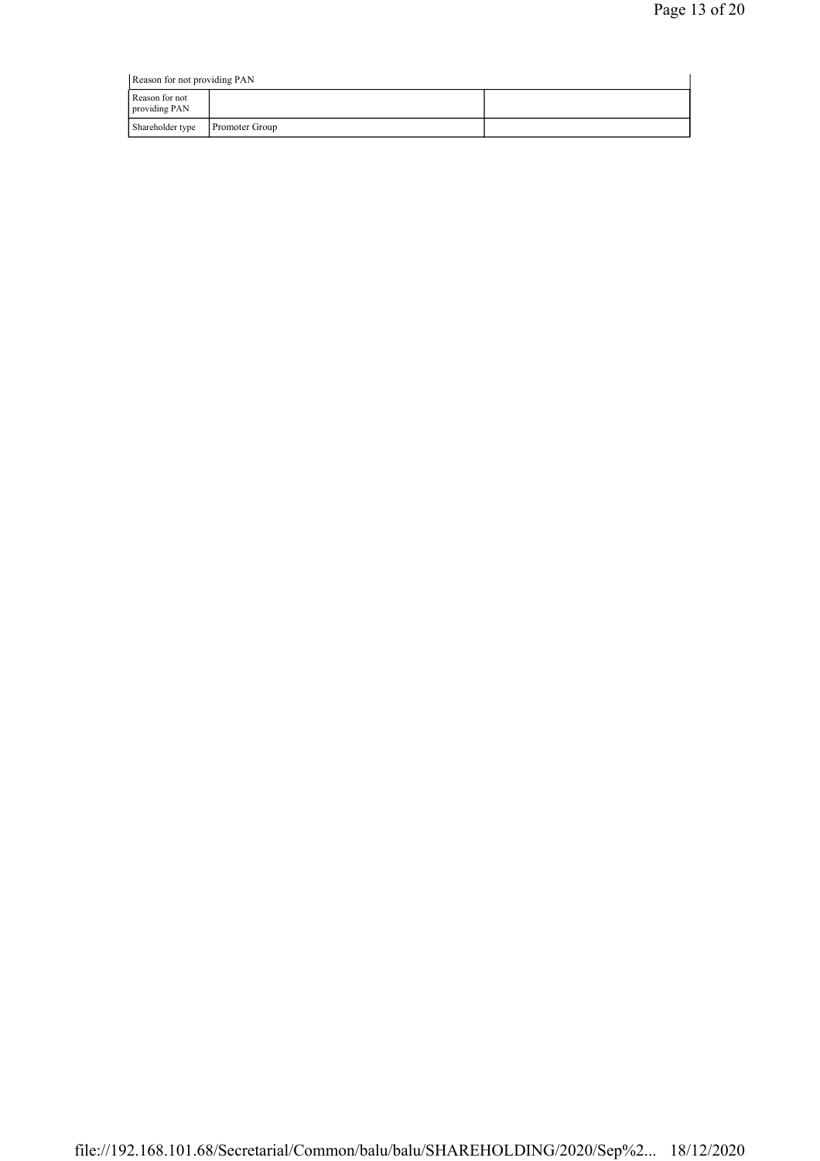| Reason for not providing PAN    |                       |  |
|---------------------------------|-----------------------|--|
| Reason for not<br>providing PAN |                       |  |
| Shareholder type                | <b>Promoter Group</b> |  |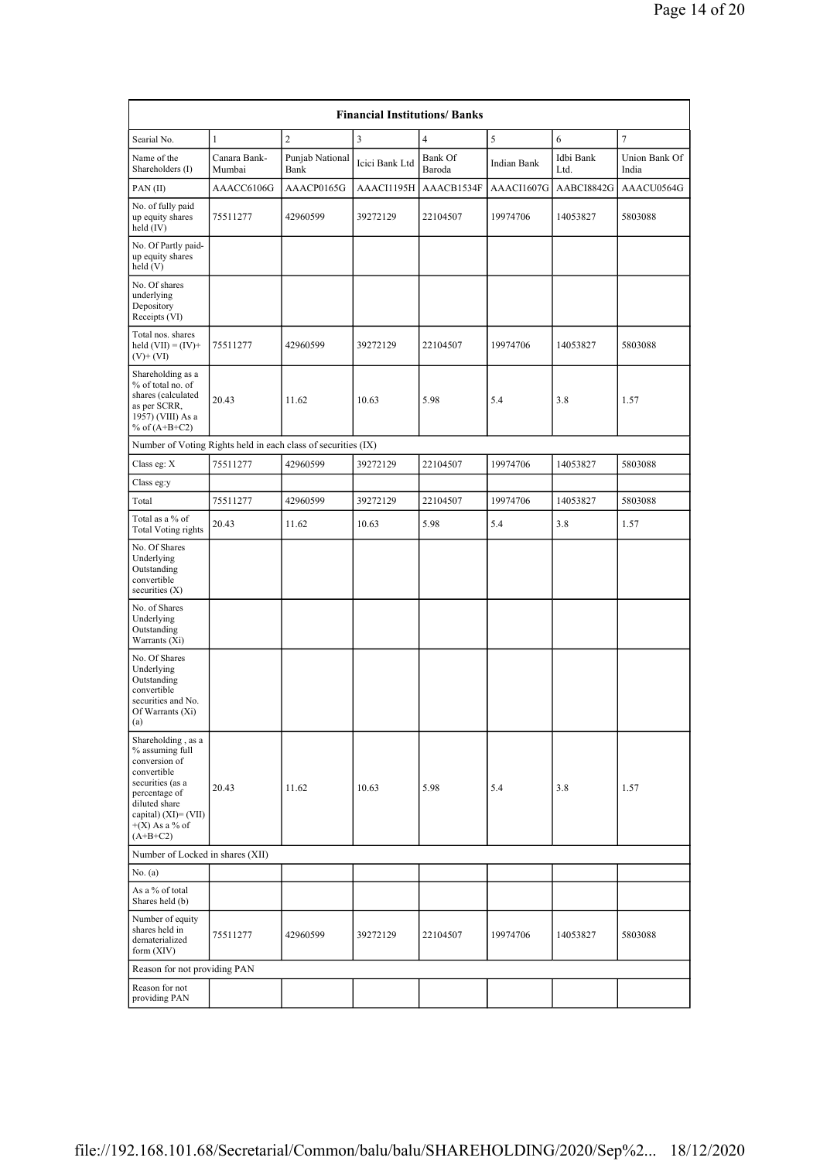| <b>Financial Institutions/ Banks</b>                                                                                                                                                     |                                  |                         |                |                   |             |                   |                        |  |  |
|------------------------------------------------------------------------------------------------------------------------------------------------------------------------------------------|----------------------------------|-------------------------|----------------|-------------------|-------------|-------------------|------------------------|--|--|
| Searial No.                                                                                                                                                                              | 1                                | $\overline{c}$          | $\overline{3}$ | $\overline{4}$    | 5           | 6                 | $\overline{7}$         |  |  |
| Name of the<br>Shareholders (I)                                                                                                                                                          | Canara Bank-<br>Mumbai           | Punjab National<br>Bank | Icici Bank Ltd | Bank Of<br>Baroda | Indian Bank | Idbi Bank<br>Ltd. | Union Bank Of<br>India |  |  |
| PAN(II)                                                                                                                                                                                  | AAACC6106G                       | AAACP0165G              | AAACI1195H     | AAACB1534F        | AAACI1607G  | AABCI8842G        | AAACU0564G             |  |  |
| No. of fully paid<br>up equity shares<br>held $(IV)$                                                                                                                                     | 75511277                         | 42960599                | 39272129       | 22104507          | 19974706    | 14053827          | 5803088                |  |  |
| No. Of Partly paid-<br>up equity shares<br>held (V)                                                                                                                                      |                                  |                         |                |                   |             |                   |                        |  |  |
| No. Of shares<br>underlying<br>Depository<br>Receipts (VI)                                                                                                                               |                                  |                         |                |                   |             |                   |                        |  |  |
| Total nos. shares<br>held $(VII) = (IV) +$<br>$(V)$ + $(VI)$                                                                                                                             | 75511277                         | 42960599                | 39272129       | 22104507          | 19974706    | 14053827          | 5803088                |  |  |
| Shareholding as a<br>% of total no. of<br>shares (calculated<br>as per SCRR,<br>1957) (VIII) As a<br>% of $(A+B+C2)$                                                                     | 20.43                            | 11.62                   | 10.63          | 5.98              | 5.4         | 3.8               | 1.57                   |  |  |
| Number of Voting Rights held in each class of securities (IX)                                                                                                                            |                                  |                         |                |                   |             |                   |                        |  |  |
| Class eg: X                                                                                                                                                                              | 75511277                         | 42960599                | 39272129       | 22104507          | 19974706    | 14053827          | 5803088                |  |  |
| Class eg:y                                                                                                                                                                               |                                  |                         |                |                   |             |                   |                        |  |  |
| Total                                                                                                                                                                                    | 75511277                         | 42960599                | 39272129       | 22104507          | 19974706    | 14053827          | 5803088                |  |  |
| Total as a % of<br>Total Voting rights                                                                                                                                                   | 20.43                            | 11.62                   | 10.63          | 5.98              | 5.4         | 3.8               | 1.57                   |  |  |
| No. Of Shares<br>Underlying<br>Outstanding<br>convertible<br>securities $(X)$                                                                                                            |                                  |                         |                |                   |             |                   |                        |  |  |
| No. of Shares<br>Underlying<br>Outstanding<br>Warrants (Xi)                                                                                                                              |                                  |                         |                |                   |             |                   |                        |  |  |
| No. Of Shares<br>Underlying<br>Outstanding<br>convertible<br>securities and No.<br>Of Warrants (Xi)<br>(a)                                                                               |                                  |                         |                |                   |             |                   |                        |  |  |
| Shareholding, as a<br>% assuming full<br>conversion of<br>convertible<br>securities (as a<br>percentage of<br>diluted share<br>capital) $(XI) = (VII)$<br>$+(X)$ As a % of<br>$(A+B+C2)$ | 20.43                            | 11.62                   | 10.63          | 5.98              | 5.4         | 3.8               | 1.57                   |  |  |
|                                                                                                                                                                                          | Number of Locked in shares (XII) |                         |                |                   |             |                   |                        |  |  |
| No. (a)                                                                                                                                                                                  |                                  |                         |                |                   |             |                   |                        |  |  |
| As a % of total<br>Shares held (b)                                                                                                                                                       |                                  |                         |                |                   |             |                   |                        |  |  |
| Number of equity<br>shares held in<br>dematerialized<br>form (XIV)                                                                                                                       | 75511277                         | 42960599                | 39272129       | 22104507          | 19974706    | 14053827          | 5803088                |  |  |
| Reason for not providing PAN                                                                                                                                                             |                                  |                         |                |                   |             |                   |                        |  |  |
| Reason for not<br>providing PAN                                                                                                                                                          |                                  |                         |                |                   |             |                   |                        |  |  |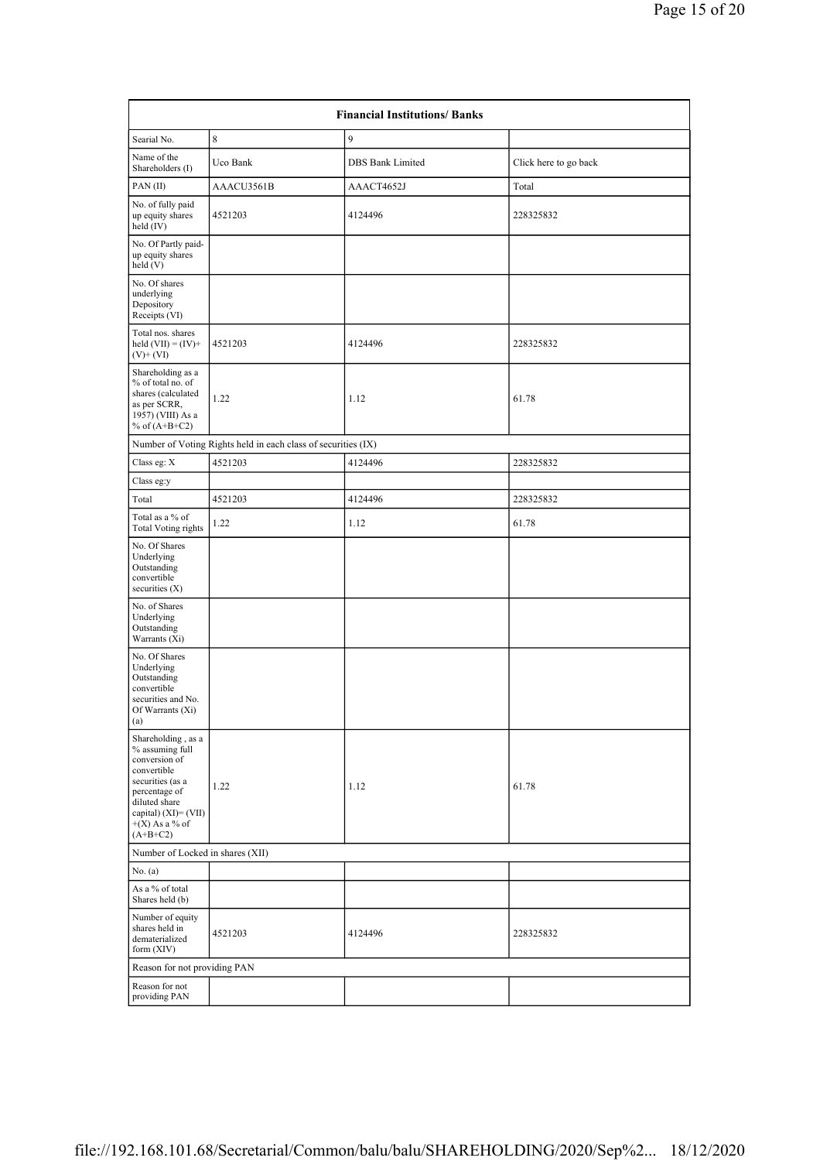| <b>Financial Institutions/ Banks</b>                                                                                                                                                     |                                                               |                         |                       |  |  |  |
|------------------------------------------------------------------------------------------------------------------------------------------------------------------------------------------|---------------------------------------------------------------|-------------------------|-----------------------|--|--|--|
| Searial No.                                                                                                                                                                              | 8                                                             | 9                       |                       |  |  |  |
| Name of the<br>Shareholders (I)                                                                                                                                                          | Uco Bank                                                      | <b>DBS</b> Bank Limited | Click here to go back |  |  |  |
| PAN(II)                                                                                                                                                                                  | AAACU3561B                                                    | AAACT4652J              | Total                 |  |  |  |
| No. of fully paid<br>up equity shares<br>held (IV)                                                                                                                                       | 4521203                                                       | 4124496                 | 228325832             |  |  |  |
| No. Of Partly paid-<br>up equity shares<br>held (V)                                                                                                                                      |                                                               |                         |                       |  |  |  |
| No. Of shares<br>underlying<br>Depository<br>Receipts (VI)                                                                                                                               |                                                               |                         |                       |  |  |  |
| Total nos. shares<br>held $(VII) = (IV) +$<br>$(V)$ + $(VI)$                                                                                                                             | 4521203                                                       | 4124496                 | 228325832             |  |  |  |
| Shareholding as a<br>% of total no. of<br>shares (calculated<br>as per SCRR,<br>1957) (VIII) As a<br>% of $(A+B+C2)$                                                                     | 1.22                                                          | 1.12                    | 61.78                 |  |  |  |
|                                                                                                                                                                                          | Number of Voting Rights held in each class of securities (IX) |                         |                       |  |  |  |
| Class eg: X                                                                                                                                                                              | 4521203                                                       | 4124496                 | 228325832             |  |  |  |
| Class eg:y                                                                                                                                                                               |                                                               |                         |                       |  |  |  |
| Total                                                                                                                                                                                    | 4521203                                                       | 4124496                 | 228325832             |  |  |  |
| Total as a % of<br><b>Total Voting rights</b>                                                                                                                                            | 1.22                                                          | 1.12                    | 61.78                 |  |  |  |
| No. Of Shares<br>Underlying<br>Outstanding<br>convertible<br>securities $(X)$                                                                                                            |                                                               |                         |                       |  |  |  |
| No. of Shares<br>Underlying<br>Outstanding<br>Warrants (Xi)                                                                                                                              |                                                               |                         |                       |  |  |  |
| No. Of Shares<br>Underlying<br>Outstanding<br>convertible<br>securities and No.<br>Of Warrants $(Xi)$<br>(a)                                                                             |                                                               |                         |                       |  |  |  |
| Shareholding, as a<br>% assuming full<br>conversion of<br>convertible<br>securities (as a<br>percentage of<br>diluted share<br>capital) $(XI) = (VII)$<br>$+(X)$ As a % of<br>$(A+B+C2)$ | 1.22                                                          | 1.12                    | 61.78                 |  |  |  |
| Number of Locked in shares (XII)                                                                                                                                                         |                                                               |                         |                       |  |  |  |
| No. (a)                                                                                                                                                                                  |                                                               |                         |                       |  |  |  |
| As a % of total<br>Shares held (b)                                                                                                                                                       |                                                               |                         |                       |  |  |  |
| Number of equity<br>shares held in<br>dematerialized<br>form $(XIV)$                                                                                                                     | 4521203                                                       | 4124496                 | 228325832             |  |  |  |
| Reason for not providing PAN                                                                                                                                                             |                                                               |                         |                       |  |  |  |
| Reason for not<br>providing PAN                                                                                                                                                          |                                                               |                         |                       |  |  |  |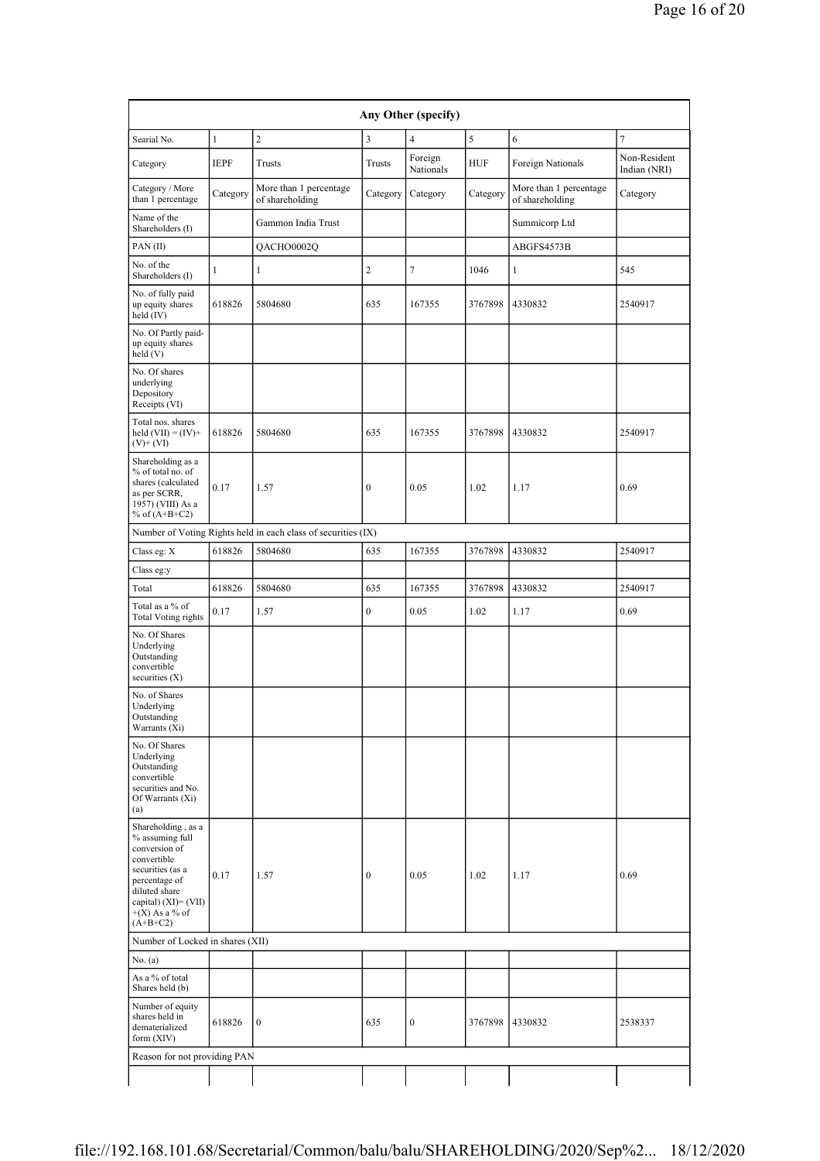| Any Other (specify)                                                                                                                                                                       |              |                                                               |                         |                      |            |                                           |                              |  |
|-------------------------------------------------------------------------------------------------------------------------------------------------------------------------------------------|--------------|---------------------------------------------------------------|-------------------------|----------------------|------------|-------------------------------------------|------------------------------|--|
| Searial No.                                                                                                                                                                               | $\mathbf{1}$ | $\overline{c}$                                                | $\overline{\mathbf{3}}$ | $\overline{4}$       | 5          | 6                                         | $\overline{7}$               |  |
| Category                                                                                                                                                                                  | <b>IEPF</b>  | Trusts                                                        | Trusts                  | Foreign<br>Nationals | <b>HUF</b> | Foreign Nationals                         | Non-Resident<br>Indian (NRI) |  |
| Category / More<br>than 1 percentage                                                                                                                                                      | Category     | More than 1 percentage<br>of shareholding                     | Category                | Category             | Category   | More than 1 percentage<br>of shareholding | Category                     |  |
| Name of the<br>Shareholders (I)                                                                                                                                                           |              | Gammon India Trust                                            |                         |                      |            | Summicorp Ltd                             |                              |  |
| PAN(II)                                                                                                                                                                                   |              | QACHO0002Q                                                    |                         |                      |            | ABGFS4573B                                |                              |  |
| No. of the<br>Shareholders (I)                                                                                                                                                            | $\mathbf{1}$ | 1                                                             | $\sqrt{2}$              | 7                    | 1046       | 1                                         | 545                          |  |
| No. of fully paid<br>up equity shares<br>held (IV)                                                                                                                                        | 618826       | 5804680                                                       | 635                     | 167355               | 3767898    | 4330832                                   | 2540917                      |  |
| No. Of Partly paid-<br>up equity shares<br>held (V)                                                                                                                                       |              |                                                               |                         |                      |            |                                           |                              |  |
| No. Of shares<br>underlying<br>Depository<br>Receipts (VI)                                                                                                                                |              |                                                               |                         |                      |            |                                           |                              |  |
| Total nos. shares<br>held $(VII) = (IV) +$<br>$(V)$ + $(VI)$                                                                                                                              | 618826       | 5804680                                                       | 635                     | 167355               | 3767898    | 4330832                                   | 2540917                      |  |
| Shareholding as a<br>% of total no. of<br>shares (calculated<br>as per SCRR,<br>1957) (VIII) As a<br>% of $(A+B+C2)$                                                                      | 0.17         | 1.57                                                          | $\bf{0}$                | 0.05                 | 1.02       | 1.17                                      | 0.69                         |  |
|                                                                                                                                                                                           |              | Number of Voting Rights held in each class of securities (IX) |                         |                      |            |                                           |                              |  |
| Class eg: X                                                                                                                                                                               | 618826       | 5804680                                                       | 635                     | 167355               | 3767898    | 4330832                                   | 2540917                      |  |
| Class eg:y                                                                                                                                                                                |              |                                                               |                         |                      |            |                                           |                              |  |
| Total                                                                                                                                                                                     | 618826       | 5804680                                                       | 635                     | 167355               | 3767898    | 4330832                                   | 2540917                      |  |
| Total as a % of<br><b>Total Voting rights</b>                                                                                                                                             | 0.17         | 1.57                                                          | $\boldsymbol{0}$        | 0.05                 | 1.02       | 1.17                                      | 0.69                         |  |
| No. Of Shares<br>Underlying<br>Outstanding<br>convertible<br>securities (X)                                                                                                               |              |                                                               |                         |                      |            |                                           |                              |  |
| No. of Shares<br>Underlying<br>Outstanding<br>Warrants (Xi)                                                                                                                               |              |                                                               |                         |                      |            |                                           |                              |  |
| No. Of Shares<br>Underlying<br>Outstanding<br>convertible<br>securities and No.<br>Of Warrants (Xi)<br>(a)                                                                                |              |                                                               |                         |                      |            |                                           |                              |  |
| Shareholding , as a<br>% assuming full<br>conversion of<br>convertible<br>securities (as a<br>percentage of<br>diluted share<br>capital) $(XI) = (VII)$<br>$+(X)$ As a % of<br>$(A+B+C2)$ | 0.17         | 1.57                                                          | $\bf{0}$                | 0.05                 | 1.02       | 1.17                                      | 0.69                         |  |
| Number of Locked in shares (XII)                                                                                                                                                          |              |                                                               |                         |                      |            |                                           |                              |  |
| No. (a)                                                                                                                                                                                   |              |                                                               |                         |                      |            |                                           |                              |  |
| As a % of total<br>Shares held (b)                                                                                                                                                        |              |                                                               |                         |                      |            |                                           |                              |  |
| Number of equity<br>shares held in<br>dematerialized<br>form (XIV)                                                                                                                        | 618826       | $\boldsymbol{0}$                                              | 635                     | $\boldsymbol{0}$     | 3767898    | 4330832                                   | 2538337                      |  |
| Reason for not providing PAN                                                                                                                                                              |              |                                                               |                         |                      |            |                                           |                              |  |
|                                                                                                                                                                                           |              |                                                               |                         |                      |            |                                           |                              |  |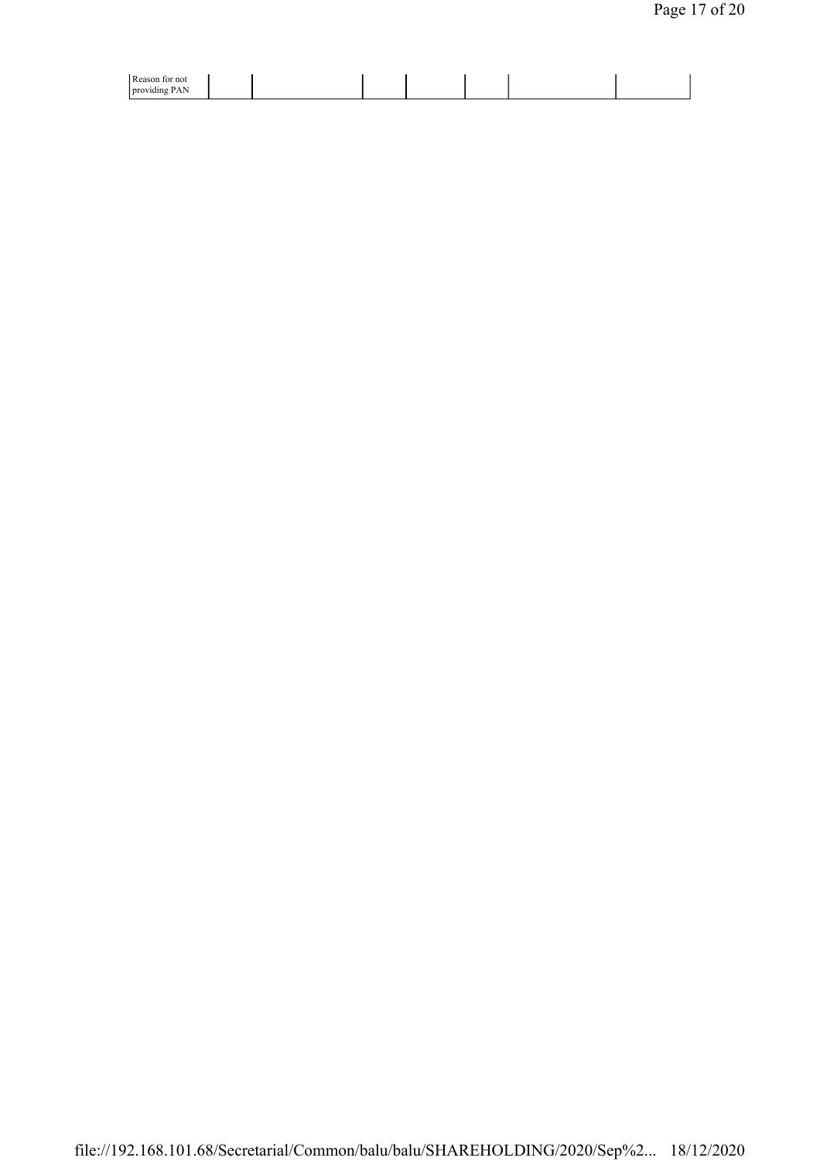| $D$ agent<br>∵not<br>ю<br>rca<br>$\sim$<br><b>Droy</b><br>----<br>⊭ишт<br>T MIA |  |  |
|---------------------------------------------------------------------------------|--|--|
|                                                                                 |  |  |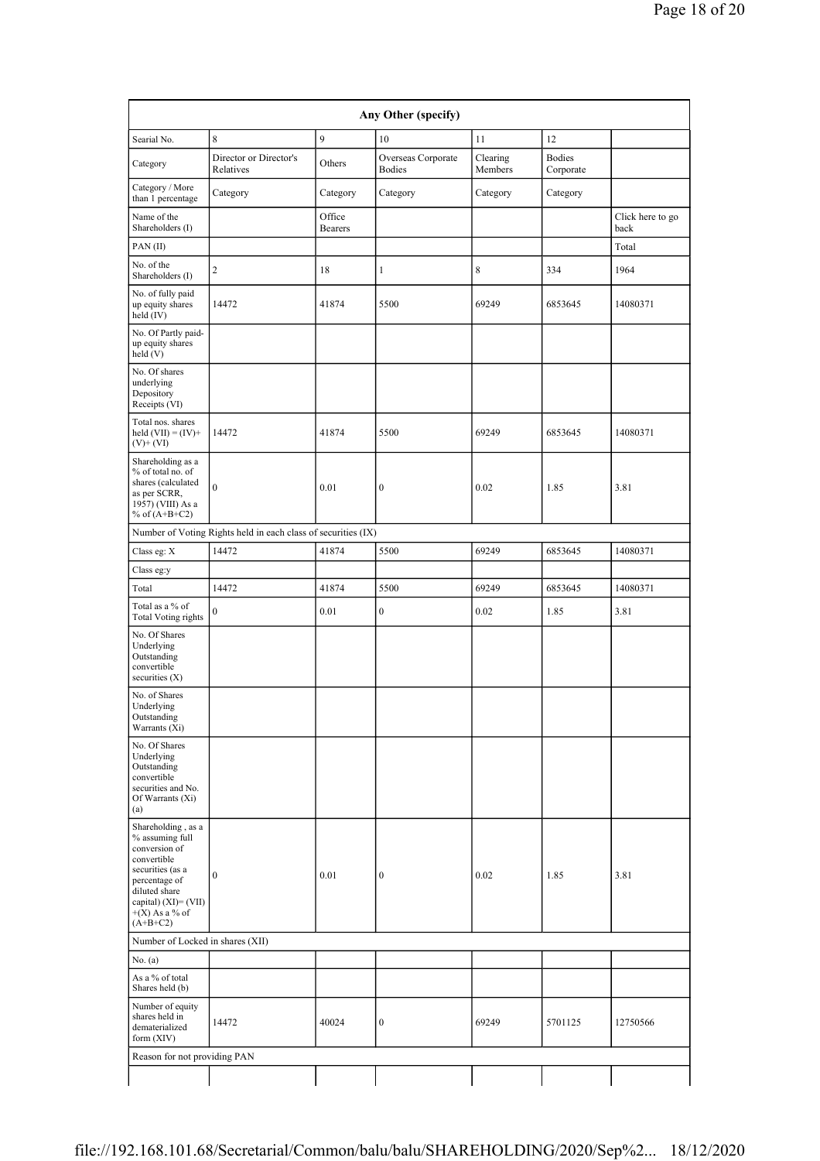| Any Other (specify)                                                                                                                                                                   |                                                               |                          |                                     |                     |                            |                          |  |
|---------------------------------------------------------------------------------------------------------------------------------------------------------------------------------------|---------------------------------------------------------------|--------------------------|-------------------------------------|---------------------|----------------------------|--------------------------|--|
| Searial No.                                                                                                                                                                           | 8                                                             | 9                        | 10                                  | 11                  | 12                         |                          |  |
| Category                                                                                                                                                                              | Director or Director's<br>Relatives                           | Others                   | Overseas Corporate<br><b>Bodies</b> | Clearing<br>Members | <b>Bodies</b><br>Corporate |                          |  |
| Category / More<br>than 1 percentage                                                                                                                                                  | Category                                                      | Category                 | Category                            | Category            | Category                   |                          |  |
| Name of the<br>Shareholders (I)                                                                                                                                                       |                                                               | Office<br><b>Bearers</b> |                                     |                     |                            | Click here to go<br>back |  |
| PAN(II)                                                                                                                                                                               |                                                               |                          |                                     |                     |                            | Total                    |  |
| No. of the<br>Shareholders (I)                                                                                                                                                        | $\overline{c}$                                                | 18                       | $\mathbf{1}$                        | 8                   | 334                        | 1964                     |  |
| No. of fully paid<br>up equity shares<br>held (IV)                                                                                                                                    | 14472                                                         | 41874                    | 5500                                | 69249               | 6853645                    | 14080371                 |  |
| No. Of Partly paid-<br>up equity shares<br>held (V)                                                                                                                                   |                                                               |                          |                                     |                     |                            |                          |  |
| No. Of shares<br>underlying<br>Depository<br>Receipts (VI)                                                                                                                            |                                                               |                          |                                     |                     |                            |                          |  |
| Total nos. shares<br>held $(VII) = (IV) +$<br>$(V)$ + $(VI)$                                                                                                                          | 14472                                                         | 41874                    | 5500                                | 69249               | 6853645                    | 14080371                 |  |
| Shareholding as a<br>% of total no. of<br>shares (calculated<br>as per SCRR,<br>1957) (VIII) As a<br>% of $(A+B+C2)$                                                                  | $\mathbf{0}$                                                  | 0.01                     | $\boldsymbol{0}$                    | 0.02                | 1.85                       | 3.81                     |  |
|                                                                                                                                                                                       | Number of Voting Rights held in each class of securities (IX) |                          |                                     |                     |                            |                          |  |
| Class eg: X                                                                                                                                                                           | 14472                                                         | 41874                    | 5500                                | 69249               | 6853645                    | 14080371                 |  |
| Class eg:y                                                                                                                                                                            |                                                               |                          |                                     |                     |                            |                          |  |
| Total                                                                                                                                                                                 | 14472                                                         | 41874                    | 5500                                | 69249               | 6853645                    | 14080371                 |  |
| Total as a % of<br><b>Total Voting rights</b>                                                                                                                                         | $\mathbf{0}$                                                  | 0.01                     | $\boldsymbol{0}$                    | 0.02                | 1.85                       | 3.81                     |  |
| No. Of Shares<br>Underlying<br>Outstanding<br>convertible<br>securities (X)                                                                                                           |                                                               |                          |                                     |                     |                            |                          |  |
| No. of Shares<br>Underlying<br>Outstanding<br>Warrants (Xi)                                                                                                                           |                                                               |                          |                                     |                     |                            |                          |  |
| No. Of Shares<br>Underlying<br>Outstanding<br>convertible<br>securities and No.<br>Of Warrants (Xi)<br>(a)                                                                            |                                                               |                          |                                     |                     |                            |                          |  |
| Shareholding, as a<br>% assuming full<br>conversion of<br>convertible<br>securities (as a<br>percentage of<br>diluted share<br>capital) (XI)= (VII)<br>$+(X)$ As a % of<br>$(A+B+C2)$ | $\boldsymbol{0}$                                              | 0.01                     | $\boldsymbol{0}$                    | 0.02                | 1.85                       | 3.81                     |  |
| Number of Locked in shares (XII)                                                                                                                                                      |                                                               |                          |                                     |                     |                            |                          |  |
| No. (a)                                                                                                                                                                               |                                                               |                          |                                     |                     |                            |                          |  |
| As a % of total<br>Shares held (b)                                                                                                                                                    |                                                               |                          |                                     |                     |                            |                          |  |
| Number of equity<br>shares held in<br>dematerialized<br>form (XIV)                                                                                                                    | 14472                                                         | 40024                    | $\boldsymbol{0}$                    | 69249               | 5701125                    | 12750566                 |  |
| Reason for not providing PAN                                                                                                                                                          |                                                               |                          |                                     |                     |                            |                          |  |
|                                                                                                                                                                                       |                                                               |                          |                                     |                     |                            |                          |  |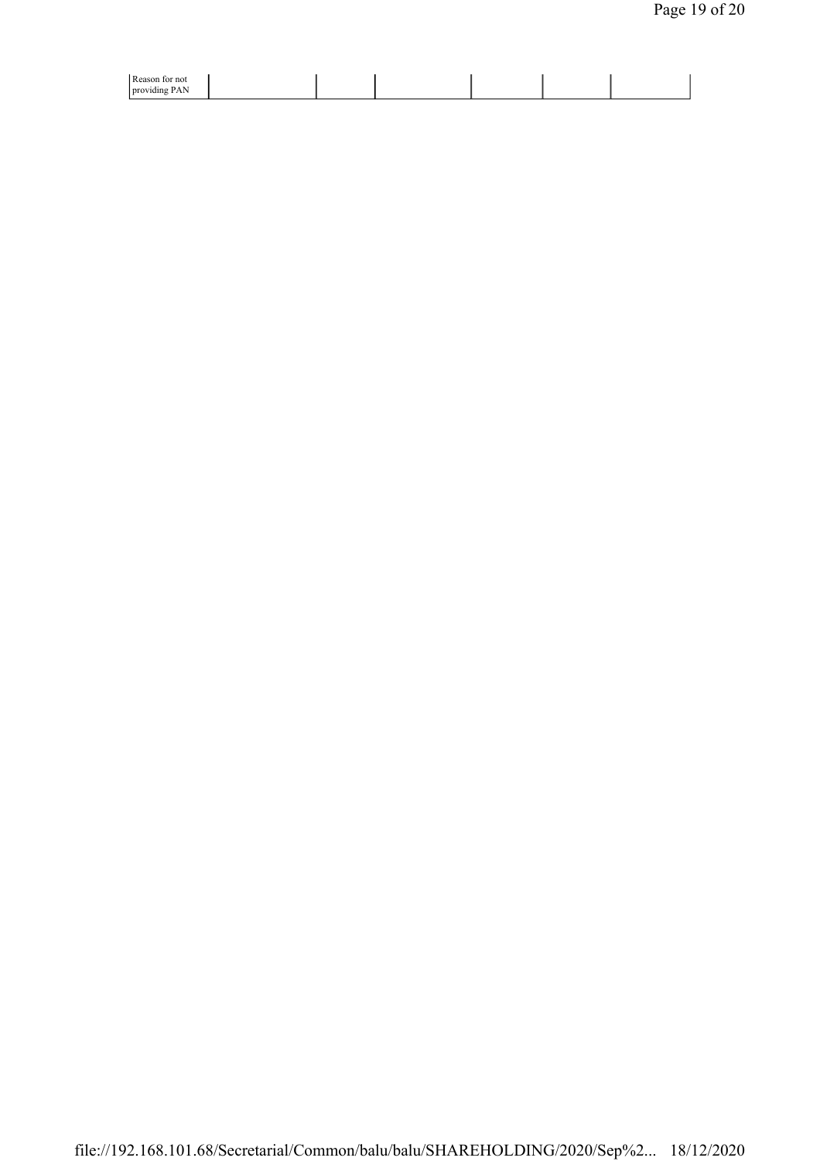| Reason<br>tor not                                       |  |  |  |
|---------------------------------------------------------|--|--|--|
| $\sim$<br>N<br><b>Drovi</b><br>υΔ<br>лишк<br>. <i>.</i> |  |  |  |